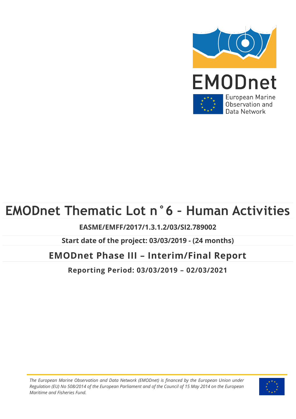

# **EMODnet Thematic Lot n°6 – Human Activities**

#### **EASME/EMFF/2017/1.3.1.2/03/SI2.789002**

#### **Start date of the project: 03/03/2019 - (24 months)**

## **EMODnet Phase III – Interim/Final Report**

**Reporting Period: 03/03/2019 – 02/03/2021**

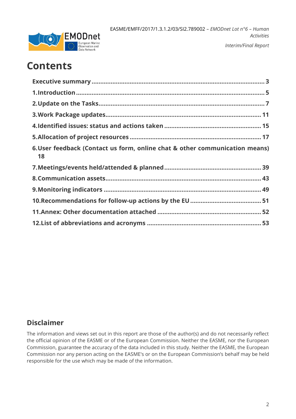

## **Contents**

| 6. User feedback (Contact us form, online chat & other communication means)<br>18 |  |
|-----------------------------------------------------------------------------------|--|
|                                                                                   |  |
|                                                                                   |  |
|                                                                                   |  |
|                                                                                   |  |
|                                                                                   |  |
|                                                                                   |  |

#### **Disclaimer**

The information and views set out in this report are those of the author(s) and do not necessarily reflect the official opinion of the EASME or of the European Commission. Neither the EASME, nor the European Commission, guarantee the accuracy of the data included in this study. Neither the EASME, the European Commission nor any person acting on the EASME's or on the European Commission's behalf may be held responsible for the use which may be made of the information.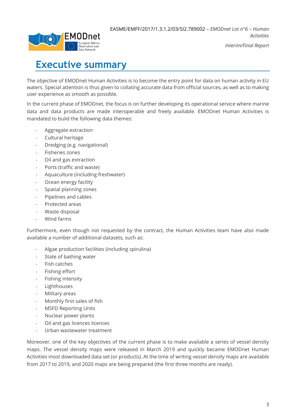

## <span id="page-2-0"></span>**Executive summary**

The objective of EMODnet Human Activities is to become the entry point for data on human activity in EU waters. Special attention is thus given to collating accurate data from official sources, as well as to making user experience as smooth as possible.

In the current phase of EMODnet, the focus is on further developing its operational service where marine data and data products are made interoperable and freely available. EMODnet Human Activities is mandated to build the following data themes:

- Aggregate extraction
- Cultural heritage
- Dredging (e.g. navigational)
- Fisheries zones
- Oil and gas extraction
- Ports (traffic and waste)
- Aquaculture (including freshwater)
- Ocean energy facility
- Spatial planning zones
- Pipelines and cables
- Protected areas
- Waste disposal
- Wind farms

Furthermore, even though not requested by the contract, the Human Activities team have also made available a number of additional datasets, such as:

- Algae production facilities (including spirulina)
- State of bathing water
- Fish catches
- Fishing effort
- Fishing intensity
- **Lighthouses**
- Military areas
- Monthly first sales of fish
- MSFD Reporting Units
- Nuclear power plants
- Oil and gas licences licences
- Urban wastewater treatment

Moreover, one of the key objectives of the current phase is to make available a series of vessel density maps. The vessel density maps were released in March 2019 and quickly became EMODnet Human Activities most downloaded data set (or products). At the time of writing vessel density maps are available from 2017 to 2019, and 2020 maps are being prepared (the first three months are ready).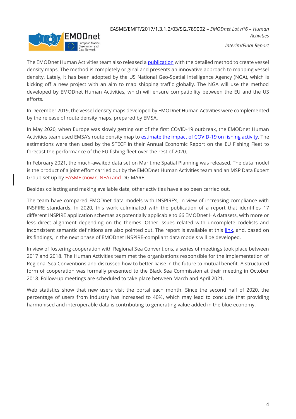

The EMODnet Human Activities team also released a **publication** with the detailed method to create vessel density maps. The method is completely original and presents an innovative approach to mapping vessel density. Lately, it has been adopted by the US National Geo-Spatial Intelligence Agency (NGA), which is kicking off a new project with an aim to map shipping traffic globally. The NGA will use the method developed by EMODnet Human Activities, which will ensure compatibility between the EU and the US efforts.

In December 2019, the vessel density maps developed by EMODnet Human Activities were complemented by the release of route density maps, prepared by EMSA.

In May 2020, when Europe was slowly getting out of the first COVID-19 outbreak, the EMODnet Human Activities team used EMSA's route density map to [estimate the impact of COVID-19 on fishing activity.](https://www.emodnet-humanactivities.eu/blog/?p=1258) The estimations were then used by the STECF in their Annual Economic Report on the EU Fishing Fleet to forecast the performance of the EU fishing fleet over the rest of 2020.

In February 2021, the much-awaited data set on Maritime Spatial Planning was released. The data model is the product of a joint effort carried out by the EMODnet Human Activities team and an MSP Data Expert Group set up by EASME (now CINEA) and DG MARE.

Besides collecting and making available data, other activities have also been carried out.

The team have compared EMODnet data models with INSPIRE's, in view of increasing compliance with INSPIRE standards. In 2020, this work culminated with the publication of a report that identifies 17 different INSPIRE application schemas as potentially applicable to 66 EMODnet HA datasets, with more or less direct alignment depending on the themes. Other issues related with uncomplete codelists and inconsistent semantic definitions are also pointed out. The report is available at this [link,](http://oceandata.azti.es/thredds/fileServer/EMODNET_HA/EMODNET_INSPIRE_webgis.html) and, based on its findings, in the next phase of EMODnet INSPIRE-compliant data models will be developed.

In view of fostering cooperation with Regional Sea Conventions, a series of meetings took place between 2017 and 2018. The Human Activities team met the organisations responsible for the implementation of Regional Sea Conventions and discussed how to better liaise in the future to mutual benefit. A structured form of cooperation was formally presented to the Black Sea Commission at their meeting in October 2018. Follow-up meetings are scheduled to take place between March and April 2021.

Web statistics show that new users visit the portal each month. Since the second half of 2020, the percentage of users from industry has increased to 40%, which may lead to conclude that providing harmonised and interoperable data is contributing to generating value added in the blue economy.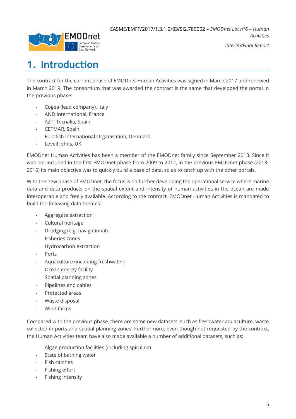

# <span id="page-4-0"></span>**1. Introduction**

The contract for the current phase of EMODnet Human Activities was signed in March 2017 and renewed in March 2019. The consortium that was awarded the contract is the same that developed the portal in the previous phase:

- Cogea (lead company), Italy
- AND International, France
- AZTI Tecnalia, Spain
- CETMAR, Spain
- Eurofish International Organisation, Denmark
- Lovell Johns, UK

EMODnet Human Activities has been a member of the EMODnet family since September 2013. Since it was not included in the first EMODnet phase from 2009 to 2012, in the previous EMODnet phase (2013- 2016) its main objective was to quickly build a base of data, so as to catch up with the other portals.

With the new phase of EMODnet, the focus is on further developing the operational service where marine data and data products on the spatial extent and intensity of human activities in the ocean are made interoperable and freely available. According to the contract, EMODnet Human Activities is mandated to build the following data themes:

- Aggregate extraction
- Cultural heritage
- Dredging (e.g. navigational)
- Fisheries zones
- Hydrocarbon extraction
- Ports
- Aquaculture (including freshwater)
- Ocean energy facility
- Spatial planning zones
- Pipelines and cables
- Protected areas
- Waste disposal
- Wind farms

Compared with the previous phase, there are some new datasets, such as freshwater aquaculture, waste collected in ports and spatial planning zones. Furthermore, even though not requested by the contract, the Human Activities team have also made available a number of additional datasets, such as:

- Algae production facilities (including spirulina)
- State of bathing water
- Fish catches
- Fishing effort
- Fishing intensity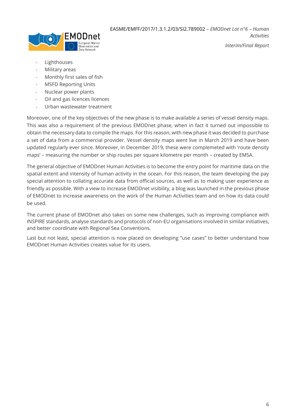

- **Lighthouses**
- Military areas
- Monthly first sales of fish
- MSFD Reporting Units
- Nuclear power plants
- Oil and gas licences licences
- Urban wastewater treatment

Moreover, one of the key objectives of the new phase is to make available a series of vessel density maps. This was also a requirement of the previous EMODnet phase, when in fact it turned out impossible to obtain the necessary data to compile the maps. For this reason, with new phase it was decided to purchase a set of data from a commercial provider. Vessel density maps went live in March 2019 and have been updated regularly ever since. Moreover, in December 2019, these were complemeted with 'route density maps' – measuring the number or ship routes per square kilometre per month – created by EMSA.

The general objective of EMODnet Human Activities is to become the entry point for maritime data on the spatial extent and intensity of human activity in the ocean. For this reason, the team developing the pay special attention to collating accurate data from official sources, as well as to making user experience as friendly as possible. With a view to increase EMODnet visibility, a blog was launched in the previous phase of EMODnet to increase awareness on the work of the Human Activities team and on how its data could be used.

The current phase of EMODnet also takes on some new challenges, such as improving compliance with INSPIRE standards, analyse standards and protocols of non-EU organisations involved in similar initiatives, and better coordinate with Regional Sea Conventions.

Last but not least, special attention is now placed on developing "use cases" to better understand how EMODnet Human Activities creates value for its users.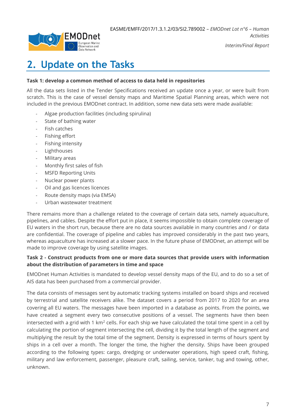

# <span id="page-6-0"></span>**2. Update on the Tasks**

#### **Task 1: develop a common method of access to data held in repositories**

All the data sets listed in the Tender Specifications received an update once a year, or were built from scratch. This is the case of vessel density maps and Maritime Spatial Planning areas, which were not included in the previous EMODnet contract. In addition, some new data sets were made available:

- Algae production facilities (including spirulina)
- State of bathing water
- Fish catches
- Fishing effort
- Fishing intensity
- **Lighthouses**
- Military areas
- Monthly first sales of fish
- **MSFD Reporting Units**
- Nuclear power plants
- Oil and gas licences licences
- Route density maps (via EMSA)
- Urban wastewater treatment

There remains more than a challenge related to the coverage of certain data sets, namely aquaculture, pipelines, and cables. Despite the effort put in place, it seems impossible to obtain complete coverage of EU waters in the short run, because there are no data sources available in many countries and / or data are confidential. The coverage of pipeline and cables has improved considerably in the past two years, whereas aquaculture has increased at a slower pace. In the future phase of EMODnet, an attempt will be made to improve coverage by using satellite images.

#### **Task 2 - Construct products from one or more data sources that provide users with information about the distribution of parameters in time and space**

EMODnet Human Activities is mandated to develop vessel density maps of the EU, and to do so a set of AIS data has been purchased from a commercial provider.

The data consists of messages sent by automatic tracking systems installed on board ships and received by terrestrial and satellite receivers alike. The dataset covers a period from 2017 to 2020 for an area covering all EU waters. The messages have been imported in a database as points. From the points, we have created a segment every two consecutive positions of a vessel. The segments have then been intersected with a grid with 1 km<sup>2</sup> cells. For each ship we have calculated the total time spent in a cell by calculating the portion of segment intersecting the cell, dividing it by the total length of the segment and multiplying the result by the total time of the segment. Density is expressed in terms of hours spent by ships in a cell over a month. The longer the time, the higher the density. Ships have been grouped according to the following types: cargo, dredging or underwater operations, high speed craft, fishing, military and law enforcement, passenger, pleasure craft, sailing, service, tanker, tug and towing, other, unknown.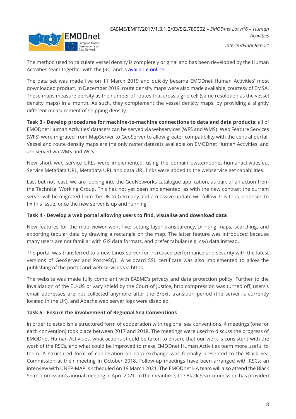

The method used to calculate vessel density is completely original and has been developed by the Human Activities team together with the JRC, and is [available online.](https://www.emodnet-humanactivities.eu/documents/Vessel_density_maps_method_v1.5.pdf)

The data set was made live on 11 March 2019 and quickly became EMODnet Human Activities' most downloaded product. In December 2019, route density maps were also made available, courtesy of EMSA. These maps measure density as the number of routes that cross a grid cell (same resolution as the vessel density maps) in a month. As such, they complement the vessel density maps, by providing a slightly different measurement of shipping density.

**Task 3 - Develop procedures for machine-to-machine connections to data and data products**: all of EMODnet Human Activities' datasets can be served via webservices (WFS and WMS). Web Feature Services (WFS) were migrated from MapServer to GeoServer to allow greater compatibility with the central portal. Vessel and route density maps are the only raster datasets available on EMODnet Human Activities, and are served via WMS and WCS.

New short web service URLs were implemented, using the domain ows.emodnet-humanactivities.eu. Service Metadata URL, Metadata URL and data URL links were added to the webservice get capabilities.

Last but not least, we are looking into the GeoNetworks catalogue application, as part of an action from the Technical Working Group. This has not yet been implemented, as with the new contract the current server will be migrated from the UK to Germany and a massive update will follow. It is thus proposed to fix this issue, once the new server is up and running.

#### **Task 4 - Develop a web portal allowing users to find, visualise and download data**

New features for the map viewer went live: setting layer transparency, printing maps, searching, and exporting tabular data by drawing a rectangle on the map. The latter feature was introduced because many users are not familiar with GIS data formats, and prefer tabular (e.g. csv) data instead.

The portal was transferred to a new Linux server for increased performance and security with the latest versions of GeoServer and PostreSQL. A wildcard SSL certificate was also implemented to allow the publishing of the portal and web services via https.

The website was made fully compliant with EASME's privacy and data protection policy. Further to the invalidation of the EU-US privacy shield by the Court of Justice, http compression was turned off, users's email addresses are not collected anymore after the Brexit transition period (the server is currently located in the UK), and Apache web server logs were disabled.

#### **Task 5 - Ensure the involvement of Regional Sea Conventions**

in order to establish a structured form of cooperation with regional sea conventions, 4 meetings (one for each convention) took place between 2017 and 2018. The meetings were used to discuss the progress of EMODnet Human Activities, what actions should be taken to ensure that our work is consistent with the work of the RSCs, and what could be improved to make EMODnet Human Activities team more useful to them. A structured form of cooperation on data exchange was formally presented to the Black Sea Commission at their meeting in October 2018. Follow-up meetings have been arranged with RSCs: an interview with UNEP-MAP is scheduled on 19 March 2021. The EMODnet HA team will also attend the Black Sea Commission's annual meeting in April 2021. In the meantime, the Black Sea Commission has provided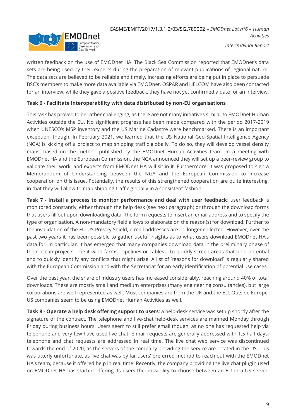

written feedback on the use of EMODnet HA. The Black Sea Commission reported that EMODnet's data sets are being used by their experts during the preparation of relevant publications of regional nature. The data sets are believed to be reliable and timely. Increasing efforts are being put in place to persuade BSC's members to make more data available via EMODnet. OSPAR and HELCOM have also been contacted for an interview; while they gave a positive feedback, they have not yet confirmed a date for an interview.

#### **Task 6 - Facilitate interoperability with data distributed by non-EU organisations**

This task has proved to be rather challenging, as there are not many initiatives similar to EMODnet Human Activities outside the EU. No significant progress has been made compared with the period 2017-2019 when UNESCO's MSP inventory and the US Marine Cadastre were benchmarked. There is an important exception, though. In February 2021, we learned that the US National Geo-Spatial Intelligence Agency (NGA) is kicking off a project to map shipping traffic globally. To do so, they will develop vessel density maps, based on the method published by the EMODnet Human Activities team. In a meeting with EMODnet HA and the European Commission, the NGA announced they will set up a peer-review group to validate their work, and experts from EMODnet HA will sit in it. Furthermore, it was proposed to sign a Memorandum of Understanding between the NGA and the European Commission to increase cooperation on this issue. Potentially, the results of this strengthened cooperation are quite interesting, in that they will allow to map shipping traffic globally in a consistent fashion.

**Task 7 - Install a process to monitor performance and deal with user feedback**: user feedback is monitored constantly, either through the help desk (see next paragraph) or through the download forms that users fill out upon downloading data. The form requests to insert an email address and to specify the type of organisation. A non-mandatory field allows to elaborate on the reason(s) for download. Further to the invalidation of the EU-US Privacy Shield, e-mail addresses are no longer collected. However, over the past two years it has been possible to gather useful insights as to what users download EMODnet HA's data for. In particular, it has emerged that many companies download data in the preliminary phase of their ocean projects – be it wind farms, pipelines or cables – to quickly screen areas that hold potential and to quickly identify any conflicts that might arise. A list of 'reasons for download' is regularly shared with the European Commission and with the Secretariat for an early identification of potential use cases.

Over the past year, the share of industry users has increased considerably, reaching around 40% of total downloads. These are mostly small and medium enterprises (many engineering consultancies), but large corporations are well represented as well. Most companies are from the UK and the EU. Outside Europe, US companies seem to be using EMODnet Human Activities as well.

**Task 8 - Operate a help desk offering support to users**: a help-desk service was set up shortly after the signature of the contract. The telephone and live-chat help-desk services are manned Monday through Friday during business hours. Users seem to still prefer email though, as no one has requested help via telephone and very few have used live chat. E-mail requests are generally addressed with 1.5 half days; telephone and chat requests are addressed in real time. The live chat web service was discontinued towards the end of 2020, as the servers of the company providing the service are located in the US. This was utterly unfortunate, as live chat was by far users' preferred method to reach out with the EMODnet HA's team, because it offered help in real time. Recently, the company providing the live chat plugin used on EMODnet HA has started offering its users the possibility to choose between an EU or a US server,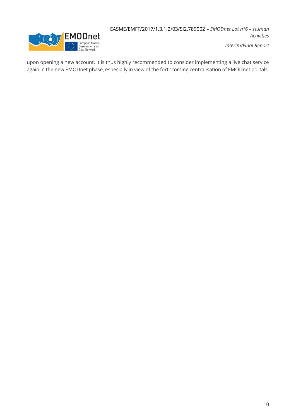

upon opening a new account. It is thus highly recommended to consider implementing a live chat service again in the new EMODnet phase, especially in view of the forthcoming centralisation of EMODnet portals.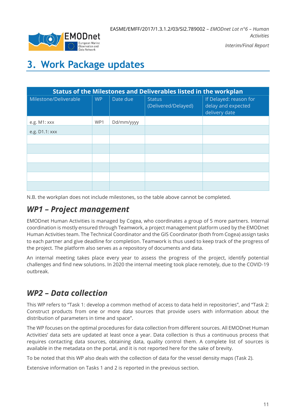

# <span id="page-10-0"></span>**3. Work Package updates**

|                       | <b>Status of the Milestones and Deliverables listed in the workplan</b> |            |                                      |                                                               |  |  |  |  |  |  |  |  |
|-----------------------|-------------------------------------------------------------------------|------------|--------------------------------------|---------------------------------------------------------------|--|--|--|--|--|--|--|--|
| Milestone/Deliverable | <b>WP</b>                                                               | Date due   | <b>Status</b><br>(Delivered/Delayed) | If Delayed: reason for<br>delay and expected<br>delivery date |  |  |  |  |  |  |  |  |
| e.g. M1: xxx          | WP <sub>1</sub>                                                         | Dd/mm/yyyy |                                      |                                                               |  |  |  |  |  |  |  |  |
| e.g. D1.1: xxx        |                                                                         |            |                                      |                                                               |  |  |  |  |  |  |  |  |
|                       |                                                                         |            |                                      |                                                               |  |  |  |  |  |  |  |  |
|                       |                                                                         |            |                                      |                                                               |  |  |  |  |  |  |  |  |
|                       |                                                                         |            |                                      |                                                               |  |  |  |  |  |  |  |  |
|                       |                                                                         |            |                                      |                                                               |  |  |  |  |  |  |  |  |
|                       |                                                                         |            |                                      |                                                               |  |  |  |  |  |  |  |  |
|                       |                                                                         |            |                                      |                                                               |  |  |  |  |  |  |  |  |

N.B. the workplan does not include milestones, so the table above cannot be completed.

#### *WP1 – Project management*

EMODnet Human Activities is managed by Cogea, who coordinates a group of 5 more partners. Internal coordination is mostly ensured through Teamwork, a project management platform used by the EMODnet Human Activities team. The Technical Coordinator and the GIS Coordinator (both from Cogea) assign tasks to each partner and give deadline for completion. Teamwork is thus used to keep track of the progress of the project. The platform also serves as a repository of documents and data.

An internal meeting takes place every year to assess the progress of the project, identify potential challenges and find new solutions. In 2020 the internal meeting took place remotely, due to the COVID-19 outbreak.

### *WP2 – Data collection*

This WP refers to "Task 1: develop a common method of access to data held in repositories", and "Task 2: Construct products from one or more data sources that provide users with information about the distribution of parameters in time and space".

The WP focuses on the optimal procedures for data collection from different sources. All EMODnet Human Activities' data sets are updated at least once a year. Data collection is thus a continuous process that requires contacting data sources, obtaining data, quality control them. A complete list of sources is available in the metadata on the portal, and it is not reported here for the sake of brevity.

To be noted that this WP also deals with the collection of data for the vessel density maps (Task 2).

Extensive information on Tasks 1 and 2 is reported in the previous section.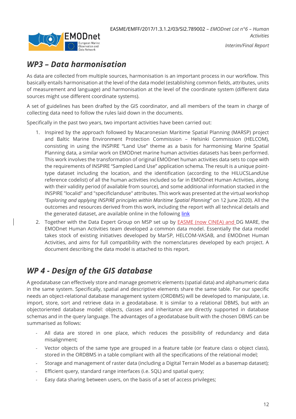

## *WP3 – Data harmonisation*

As data are collected from multiple sources, harmonisation is an important process in our workflow. This basically entails harmonisation at the level of the data model (establishing common fields, attributes, units of measurement and language) and harmonisation at the level of the coordinate system (different data sources might use different coordinate systems).

A set of guidelines has been drafted by the GIS coordinator, and all members of the team in charge of collecting data need to follow the rules laid down in the documents.

Specifically in the past two years, two important activities have been carried out:

- 1. Inspired by the approach followed by Macaronesian Maritime Spatial Planning (MARSP) project and Baltic Marine Environment Protection Commission – Helsinki Commission (HELCOM), consisting in using the INSPIRE "Land Use" theme as a basis for harmonising Marine Spatial Planning data, a similar work on EMODnet marine human activities datasets has been performed. This work involves the transformation of original EMODnet human activities data sets to cope with the requirements of INSPIRE "Sampled Land Use" application schema. The result is a unique pointtype dataset including the location, and the identification (according to the HILUCSLandUse reference codelist) of all the human activities included so far in EMODnet Human Activities, along with their validity period (if available from source), and some additional information stacked in the INSPIRE "localid" and "specificlanduse" attributes. This work was presented at the virtual workshop *"Exploring and applying INSPIRE principles within Maritime Spatial Planning*" on 12 June 2020). All the outcomes and resources derived from this work, including the report with all technical details and the generated dataset, are available online in the following [link](http://oceandata.azti.es/thredds/fileServer/EMODNET_HA/EMODNET_INSPIRE_webgis.html)
- 2. Together with the Data Expert Group on MSP set up by EASME (now CINEA) and DG MARE, the EMODnet Human Activities team developed a common data model. Essentially the data model takes stock of existing initiatives developed by MarSP, HELCOM-VASAB, and EMODnet Human Activities, and aims for full compatibility with the nomenclatures developed by each project. A document describing the data model is attached to this report.

## *WP 4 - Design of the GIS database*

A geodatabase can effectively store and manage geometric elements (spatial data) and alphanumeric data in the same system. Specifically, spatial and descriptive elements share the same table. For our specific needs an object-relational database management system (ORDBMS) will be developed to manipulate, i.e. import, store, sort and retrieve data in a geodatabase. It is similar to a relational DBMS, but with an objectoriented database model: objects, classes and inheritance are directly supported in database schemas and in the query language. The advantages of a geodatabase built with the chosen DBMS can be summarised as follows:

- All data are stored in one place, which reduces the possibility of redundancy and data misalignment;
- Vector objects of the same type are grouped in a feature table (or feature class o object class), stored in the ORDBMS in a table compliant with all the specifications of the relational model;
- Storage and management of raster data (including a Digital Terrain Model as a basemap dataset);
- Efficient query, standard range interfaces (i.e. SQL) and spatial query;
- Easy data sharing between users, on the basis of a set of access privileges;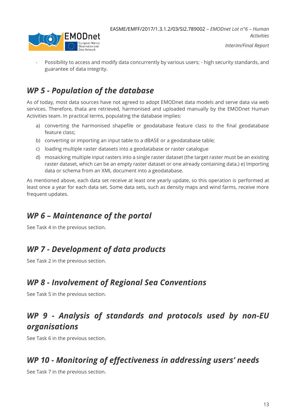

- *Interim/Final Report*
- Possibility to access and modify data concurrently by various users; high security standards, and guarantee of data integrity.

## *WP 5 - Population of the database*

As of today, most data sources have not agreed to adopt EMODnet data models and serve data via web services. Therefore, thata are retrieved, harmonised and uploaded manually by the EMODnet Human Activities team. In practical terms, populating the database implies:

- a) converting the harmonised shapefile or geodatabase feature class to the final geodatabase feature class;
- b) converting or importing an input table to a dBASE or a geodatabase table;
- c) loading multiple raster datasets into a geodatabase or raster catalogue
- d) mosaicking multiple input rasters into a single raster dataset (the target raster must be an existing raster dataset, which can be an empty raster dataset or one already containing data.) e) Importing data or schema from an XML document into a geodatabase.

As mentioned above, each data set receive at least one yearly update, so this operation is performed at least once a year for each data set. Some data sets, such as density maps and wind farms, receive more frequent updates.

### *WP 6 – Maintenance of the portal*

See Task 4 in the previous section.

### *WP 7 - Development of data products*

See Task 2 in the previous section.

### *WP 8 - Involvement of Regional Sea Conventions*

See Task 5 in the previous section.

### *WP 9 - Analysis of standards and protocols used by non-EU organisations*

See Task 6 in the previous section.

### *WP 10 - Monitoring of effectiveness in addressing users' needs*

See Task 7 in the previous section.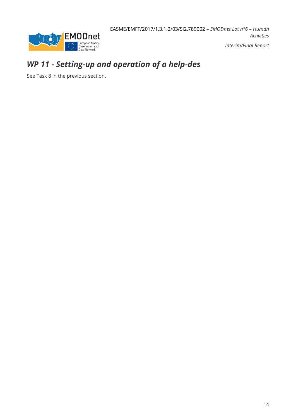

## *WP 11 - Setting-up and operation of a help-des*

See Task 8 in the previous section.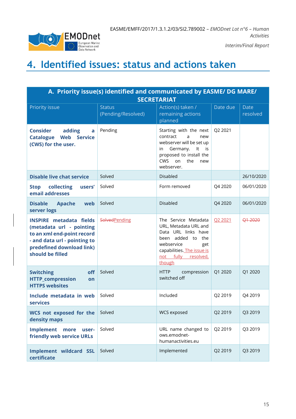

## <span id="page-14-0"></span>**4. Identified issues: status and actions taken**

| A. Priority issue(s) identified and communicated by EASME/ DG MARE/<br><b>SECRETARIAT</b>                                                                                 |                                     |                                                                                                                                                                               |                     |                         |  |  |  |  |  |  |
|---------------------------------------------------------------------------------------------------------------------------------------------------------------------------|-------------------------------------|-------------------------------------------------------------------------------------------------------------------------------------------------------------------------------|---------------------|-------------------------|--|--|--|--|--|--|
| Priority issue                                                                                                                                                            | <b>Status</b><br>(Pending/Resolved) | Action(s) taken /<br>remaining actions<br>planned                                                                                                                             | Date due            | <b>Date</b><br>resolved |  |  |  |  |  |  |
| <b>Consider</b><br>adding<br>a<br><b>Catalogue Web Service</b><br>(CWS) for the user.                                                                                     | Pending                             | Starting with the next<br>contract<br>a<br>new<br>webserver will be set up<br>in Germany. It is<br>proposed to install the<br>on<br>CWS<br>the<br>new<br>webserver.           | Q2 2021             |                         |  |  |  |  |  |  |
| <b>Disable live chat service</b>                                                                                                                                          | Solved                              | <b>Disabled</b>                                                                                                                                                               |                     | 26/10/2020              |  |  |  |  |  |  |
| collecting<br><b>Stop</b><br>users'<br>email addresses                                                                                                                    | Solved                              | Form removed                                                                                                                                                                  | Q4 2020             | 06/01/2020              |  |  |  |  |  |  |
| <b>Disable</b><br><b>Apache</b><br>web<br>server logs                                                                                                                     | Solved                              | <b>Disabled</b>                                                                                                                                                               | Q4 2020             | 06/01/2020              |  |  |  |  |  |  |
| <b>INSPIRE metadata fields</b><br>(metadata url - pointing<br>to an xml end-point record<br>- and data url - pointing to<br>predefined download link)<br>should be filled | <b>Solved</b> Pending               | The Service Metadata<br>URL, Metadata URL and<br>Data URL links have<br>been added to the<br>webservice<br>get<br>capabilities. The issue is<br>not fully resolved,<br>though | O <sub>2</sub> 2021 | Q1-2020                 |  |  |  |  |  |  |
| <b>Switching</b><br>off<br><b>HTTP_compression</b><br>on<br><b>HTTPS websites</b>                                                                                         | Solved                              | <b>HTTP</b><br>compression<br>switched off                                                                                                                                    | Q1 2020             | Q1 2020                 |  |  |  |  |  |  |
| Include metadata in web<br>services                                                                                                                                       | Solved                              | Included                                                                                                                                                                      | Q2 2019             | Q4 2019                 |  |  |  |  |  |  |
| <b>WCS not exposed for the Solved</b><br>density maps                                                                                                                     |                                     | WCS exposed                                                                                                                                                                   | Q2 2019             | Q3 2019                 |  |  |  |  |  |  |
| <b>Implement</b><br>more<br>user-<br>friendly web service URLs                                                                                                            | Solved                              | URL name changed to<br>ows.emodnet-<br>humanactivities.eu                                                                                                                     | Q2 2019             | Q3 2019                 |  |  |  |  |  |  |
| <b>Implement wildcard SSL</b><br>certificate                                                                                                                              | Solved                              | Implemented                                                                                                                                                                   | Q2 2019             | Q3 2019                 |  |  |  |  |  |  |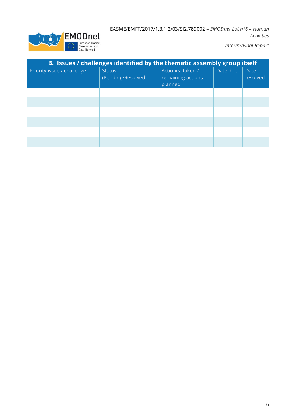

EASME/EMFF/2017/1.3.1.2/03/SI2.789002 *– EMODnet Lot n°6 – Human Activities*

| B. Issues / challenges identified by the thematic assembly group itself |                                     |                                                   |          |                  |  |  |  |  |  |  |
|-------------------------------------------------------------------------|-------------------------------------|---------------------------------------------------|----------|------------------|--|--|--|--|--|--|
| Priority issue / challenge                                              | <b>Status</b><br>(Pending/Resolved) | Action(s) taken /<br>remaining actions<br>planned | Date due | Date<br>resolved |  |  |  |  |  |  |
|                                                                         |                                     |                                                   |          |                  |  |  |  |  |  |  |
|                                                                         |                                     |                                                   |          |                  |  |  |  |  |  |  |
|                                                                         |                                     |                                                   |          |                  |  |  |  |  |  |  |
|                                                                         |                                     |                                                   |          |                  |  |  |  |  |  |  |
|                                                                         |                                     |                                                   |          |                  |  |  |  |  |  |  |
|                                                                         |                                     |                                                   |          |                  |  |  |  |  |  |  |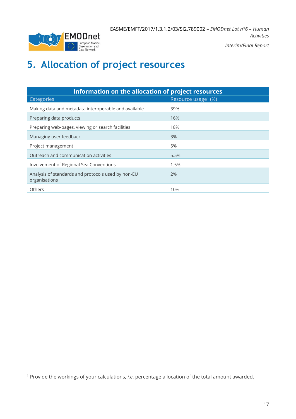

# <span id="page-16-0"></span>**5. Allocation of project resources**

| Information on the allocation of project resources                  |                                 |  |  |  |  |  |  |
|---------------------------------------------------------------------|---------------------------------|--|--|--|--|--|--|
| Categories                                                          | Resource usage <sup>1</sup> (%) |  |  |  |  |  |  |
| Making data and metadata interoperable and available                | 39%                             |  |  |  |  |  |  |
| Preparing data products                                             | 16%                             |  |  |  |  |  |  |
| Preparing web-pages, viewing or search facilities                   | 18%                             |  |  |  |  |  |  |
| Managing user feedback                                              | 3%                              |  |  |  |  |  |  |
| Project management                                                  | 5%                              |  |  |  |  |  |  |
| Outreach and communication activities                               | 5.5%                            |  |  |  |  |  |  |
| Involvement of Regional Sea Conventions                             | 1.5%                            |  |  |  |  |  |  |
| Analysis of standards and protocols used by non-EU<br>organisations | 2%                              |  |  |  |  |  |  |
| Others                                                              | 10%                             |  |  |  |  |  |  |

<sup>1</sup> Provide the workings of your calculations, *i.e*. percentage allocation of the total amount awarded.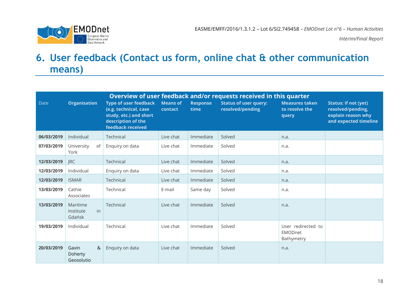

## **6. User feedback (Contact us form, online chat & other communication means)**

<span id="page-17-0"></span>

|            |                                       |                                                                                                                            |                            |                         | Overview of user feedback and/or requests received in this quarter |                                                    |                                                                                                 |
|------------|---------------------------------------|----------------------------------------------------------------------------------------------------------------------------|----------------------------|-------------------------|--------------------------------------------------------------------|----------------------------------------------------|-------------------------------------------------------------------------------------------------|
| Date       | <b>Organisation</b>                   | <b>Type of user feedback</b><br>(e.g. technical, case<br>study, etc.) and short<br>description of the<br>feedback received | <b>Means of</b><br>contact | <b>Response</b><br>time | <b>Status of user query:</b><br>resolved/pending                   | <b>Measures taken</b><br>to resolve the<br>query   | <b>Status: if not (yet)</b><br>resolved/pending,<br>explain reason why<br>and expected timeline |
| 06/03/2019 | Individual                            | Technical                                                                                                                  | Live chat                  | Immediate               | Solved                                                             | n.a.                                               |                                                                                                 |
| 07/03/2019 | University<br>of<br>York              | Enquiry on data                                                                                                            | Live chat                  | Immediate               | Solved                                                             | n.a.                                               |                                                                                                 |
| 12/03/2019 | <b>JRC</b>                            | Technical                                                                                                                  | Live chat                  | Immediate               | Solved                                                             | n.a.                                               |                                                                                                 |
| 12/03/2019 | Individual                            | Enquiry on data                                                                                                            | Live chat                  | Immediate               | Solved                                                             | n.a.                                               |                                                                                                 |
| 12/03/2019 | <b>ISMAR</b>                          | Technical                                                                                                                  | Live chat                  | Immediate               | Solved                                                             | n.a.                                               |                                                                                                 |
| 13/03/2019 | Cathie<br>Associates                  | Technical                                                                                                                  | E-mail                     | Same day                | Solved                                                             | n.a.                                               |                                                                                                 |
| 13/03/2019 | Maritime<br>Institute<br>in<br>Gdańsk | Technical                                                                                                                  | Live chat                  | Immediate               | Solved                                                             | n.a.                                               |                                                                                                 |
| 19/03/2019 | Individual                            | Technical                                                                                                                  | Live chat                  | Immediate               | Solved                                                             | User redirected to<br><b>EMODnet</b><br>Bathymetry |                                                                                                 |
| 20/03/2019 | &<br>Gavin<br>Doherty<br>Geosolutio   | Enquiry on data                                                                                                            | Live chat                  | Immediate               | Solved                                                             | n.a.                                               |                                                                                                 |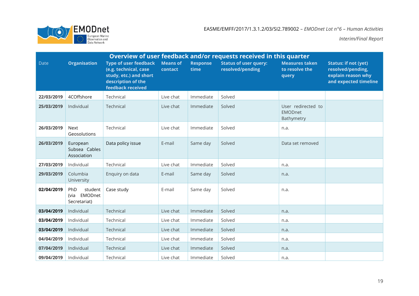

|            |                                                   |                                                                                                                            |                            |                         | Overview of user feedback and/or requests received in this quarter |                                                  |                                                                                                 |
|------------|---------------------------------------------------|----------------------------------------------------------------------------------------------------------------------------|----------------------------|-------------------------|--------------------------------------------------------------------|--------------------------------------------------|-------------------------------------------------------------------------------------------------|
| Date       | <b>Organisation</b>                               | <b>Type of user feedback</b><br>(e.g. technical, case<br>study, etc.) and short<br>description of the<br>feedback received | <b>Means of</b><br>contact | <b>Response</b><br>time | <b>Status of user query:</b><br>resolved/pending                   | <b>Measures taken</b><br>to resolve the<br>query | <b>Status: if not (yet)</b><br>resolved/pending,<br>explain reason why<br>and expected timeline |
| 22/03/2019 | 4COffshore                                        | Technical                                                                                                                  | Live chat                  | Immediate               | Solved                                                             |                                                  |                                                                                                 |
| 25/03/2019 | Individual                                        | Technical                                                                                                                  | Live chat                  | Immediate               | Solved                                                             | User redirected to<br>EMODnet<br>Bathymetry      |                                                                                                 |
| 26/03/2019 | Next<br>Geosolutions                              | Technical                                                                                                                  | Live chat                  | Immediate               | Solved                                                             | n.a.                                             |                                                                                                 |
| 26/03/2019 | European<br>Subsea Cables<br>Association          | Data policy issue                                                                                                          | E-mail                     | Same day                | Solved                                                             | Data set removed                                 |                                                                                                 |
| 27/03/2019 | Individual                                        | Technical                                                                                                                  | Live chat                  | Immediate               | Solved                                                             | n.a.                                             |                                                                                                 |
| 29/03/2019 | Columbia<br>University                            | Enquiry on data                                                                                                            | E-mail                     | Same day                | Solved                                                             | n.a.                                             |                                                                                                 |
| 02/04/2019 | PhD<br>student<br>EMODnet<br>(via<br>Secretariat) | Case study                                                                                                                 | E-mail                     | Same day                | Solved                                                             | n.a.                                             |                                                                                                 |
| 03/04/2019 | Individual                                        | Technical                                                                                                                  | Live chat                  | Immediate               | Solved                                                             | n.a.                                             |                                                                                                 |
| 03/04/2019 | Individual                                        | Technical                                                                                                                  | Live chat                  | Immediate               | Solved                                                             | n.a.                                             |                                                                                                 |
| 03/04/2019 | Individual                                        | Technical                                                                                                                  | Live chat                  | Immediate               | Solved                                                             | n.a.                                             |                                                                                                 |
| 04/04/2019 | Individual                                        | Technical                                                                                                                  | Live chat                  | Immediate               | Solved                                                             | n.a.                                             |                                                                                                 |
| 07/04/2019 | Individual                                        | Technical                                                                                                                  | Live chat                  | Immediate               | Solved                                                             | n.a.                                             |                                                                                                 |
| 09/04/2019 | Individual                                        | Technical                                                                                                                  | Live chat                  | Immediate               | Solved                                                             | n.a.                                             |                                                                                                 |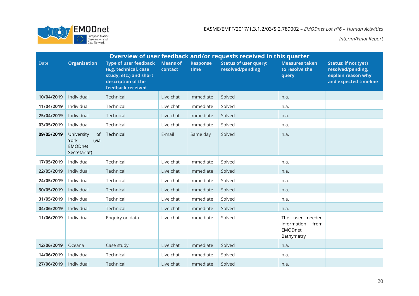

|             |                                                                               |                                                                                                                            |                            |                         | Overview of user feedback and/or requests received in this quarter |                                                                        |                                                                                                 |
|-------------|-------------------------------------------------------------------------------|----------------------------------------------------------------------------------------------------------------------------|----------------------------|-------------------------|--------------------------------------------------------------------|------------------------------------------------------------------------|-------------------------------------------------------------------------------------------------|
| <b>Date</b> | <b>Organisation</b>                                                           | <b>Type of user feedback</b><br>(e.g. technical, case<br>study, etc.) and short<br>description of the<br>feedback received | <b>Means of</b><br>contact | <b>Response</b><br>time | <b>Status of user query:</b><br>resolved/pending                   | <b>Measures taken</b><br>to resolve the<br>query                       | <b>Status: if not (yet)</b><br>resolved/pending,<br>explain reason why<br>and expected timeline |
| 10/04/2019  | Individual                                                                    | Technical                                                                                                                  | Live chat                  | Immediate               | Solved                                                             | n.a.                                                                   |                                                                                                 |
| 11/04/2019  | Individual                                                                    | Technical                                                                                                                  | Live chat                  | Immediate               | Solved                                                             | n.a.                                                                   |                                                                                                 |
| 25/04/2019  | Individual                                                                    | Technical                                                                                                                  | Live chat                  | Immediate               | Solved                                                             | n.a.                                                                   |                                                                                                 |
| 03/05/2019  | Individual                                                                    | Technical                                                                                                                  | Live chat                  | Immediate               | Solved                                                             | n.a.                                                                   |                                                                                                 |
| 09/05/2019  | University<br><sub>of</sub><br>York<br>(via<br><b>EMODnet</b><br>Secretariat) | Technical                                                                                                                  | E-mail                     | Same day                | Solved                                                             | n.a.                                                                   |                                                                                                 |
| 17/05/2019  | Individual                                                                    | Technical                                                                                                                  | Live chat                  | Immediate               | Solved                                                             | n.a.                                                                   |                                                                                                 |
| 22/05/2019  | Individual                                                                    | Technical                                                                                                                  | Live chat                  | Immediate               | Solved                                                             | n.a.                                                                   |                                                                                                 |
| 24/05/2019  | Individual                                                                    | Technical                                                                                                                  | Live chat                  | Immediate               | Solved                                                             | n.a.                                                                   |                                                                                                 |
| 30/05/2019  | Individual                                                                    | Technical                                                                                                                  | Live chat                  | Immediate               | Solved                                                             | n.a.                                                                   |                                                                                                 |
| 31/05/2019  | Individual                                                                    | Technical                                                                                                                  | Live chat                  | Immediate               | Solved                                                             | n.a.                                                                   |                                                                                                 |
| 04/06/2019  | Individual                                                                    | Technical                                                                                                                  | Live chat                  | Immediate               | Solved                                                             | n.a.                                                                   |                                                                                                 |
| 11/06/2019  | Individual                                                                    | Enquiry on data                                                                                                            | Live chat                  | Immediate               | Solved                                                             | The user needed<br>information<br>from<br><b>EMODnet</b><br>Bathymetry |                                                                                                 |
| 12/06/2019  | Oceana                                                                        | Case study                                                                                                                 | Live chat                  | Immediate               | Solved                                                             | n.a.                                                                   |                                                                                                 |
| 14/06/2019  | Individual                                                                    | Technical                                                                                                                  | Live chat                  | Immediate               | Solved                                                             | n.a.                                                                   |                                                                                                 |
| 27/06/2019  | Individual                                                                    | Technical                                                                                                                  | Live chat                  | Immediate               | Solved                                                             | n.a.                                                                   |                                                                                                 |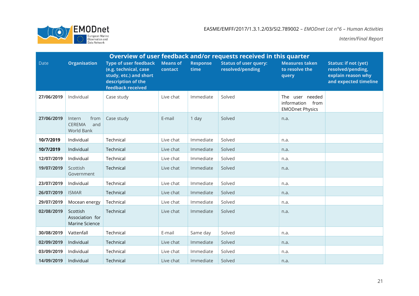

|            |                                                      |                                                                                                                            |                            |                         | Overview of user feedback and/or requests received in this quarter |                                                                  |                                                                                                 |
|------------|------------------------------------------------------|----------------------------------------------------------------------------------------------------------------------------|----------------------------|-------------------------|--------------------------------------------------------------------|------------------------------------------------------------------|-------------------------------------------------------------------------------------------------|
| Date       | <b>Organisation</b>                                  | <b>Type of user feedback</b><br>(e.g. technical, case<br>study, etc.) and short<br>description of the<br>feedback received | <b>Means of</b><br>contact | <b>Response</b><br>time | <b>Status of user query:</b><br>resolved/pending                   | <b>Measures taken</b><br>to resolve the<br>query                 | <b>Status: if not (yet)</b><br>resolved/pending,<br>explain reason why<br>and expected timeline |
| 27/06/2019 | Individual                                           | Case study                                                                                                                 | Live chat                  | Immediate               | Solved                                                             | The user needed<br>information<br>from<br><b>EMODnet Physics</b> |                                                                                                 |
| 27/06/2019 | Intern<br>from<br><b>CEREMA</b><br>and<br>World Bank | Case study                                                                                                                 | E-mail                     | 1 day                   | Solved                                                             | n.a.                                                             |                                                                                                 |
| 10/7/2019  | Individual                                           | Technical                                                                                                                  | Live chat                  | Immediate               | Solved                                                             | n.a.                                                             |                                                                                                 |
| 10/7/2019  | Individual                                           | Technical                                                                                                                  | Live chat                  | Immediate               | Solved                                                             | n.a.                                                             |                                                                                                 |
| 12/07/2019 | Individual                                           | Technical                                                                                                                  | Live chat                  | Immediate               | Solved                                                             | n.a.                                                             |                                                                                                 |
| 19/07/2019 | Scottish<br>Government                               | Technical                                                                                                                  | Live chat                  | Immediate               | Solved                                                             | n.a.                                                             |                                                                                                 |
| 23/07/2019 | Individual                                           | Technical                                                                                                                  | Live chat                  | Immediate               | Solved                                                             | n.a.                                                             |                                                                                                 |
| 26/07/2019 | <b>ISMAR</b>                                         | Technical                                                                                                                  | Live chat                  | Immediate               | Solved                                                             | n.a.                                                             |                                                                                                 |
| 29/07/2019 | Mocean energy                                        | Technical                                                                                                                  | Live chat                  | Immediate               | Solved                                                             | n.a.                                                             |                                                                                                 |
| 02/08/2019 | Scottish<br>Association for<br>Marine Science        | Technical                                                                                                                  | Live chat                  | Immediate               | Solved                                                             | n.a.                                                             |                                                                                                 |
| 30/08/2019 | Vattenfall                                           | Technical                                                                                                                  | E-mail                     | Same day                | Solved                                                             | n.a.                                                             |                                                                                                 |
| 02/09/2019 | Individual                                           | Technical                                                                                                                  | Live chat                  | Immediate               | Solved                                                             | n.a.                                                             |                                                                                                 |
| 03/09/2019 | Individual                                           | Technical                                                                                                                  | Live chat                  | Immediate               | Solved                                                             | n.a.                                                             |                                                                                                 |
| 14/09/2019 | Individual                                           | Technical                                                                                                                  | Live chat                  | Immediate               | Solved                                                             | n.a.                                                             |                                                                                                 |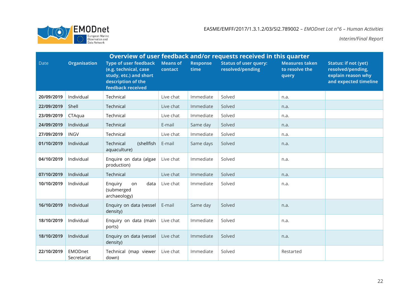

| Date       | <b>Organisation</b>    | <b>Type of user feedback</b><br>(e.g. technical, case<br>study, etc.) and short<br>description of the<br>feedback received | <b>Means of</b><br>contact | <b>Response</b><br>time | Overview of user feedback and/or requests received in this quarter<br><b>Status of user query:</b><br>resolved/pending | <b>Measures taken</b><br>to resolve the<br>query | <b>Status: if not (yet)</b><br>resolved/pending,<br>explain reason why<br>and expected timeline |
|------------|------------------------|----------------------------------------------------------------------------------------------------------------------------|----------------------------|-------------------------|------------------------------------------------------------------------------------------------------------------------|--------------------------------------------------|-------------------------------------------------------------------------------------------------|
| 20/09/2019 | Individual             | Technical                                                                                                                  | Live chat                  | Immediate               | Solved                                                                                                                 | n.a.                                             |                                                                                                 |
| 22/09/2019 | Shell                  | Technical                                                                                                                  | Live chat                  | Immediate               | Solved                                                                                                                 | n.a.                                             |                                                                                                 |
| 23/09/2019 | CTAqua                 | Technical                                                                                                                  | Live chat                  | Immediate               | Solved                                                                                                                 | n.a.                                             |                                                                                                 |
| 24/09/2019 | Individual             | Technical                                                                                                                  | E-mail                     | Same day                | Solved                                                                                                                 | n.a.                                             |                                                                                                 |
| 27/09/2019 | <b>INGV</b>            | Technical                                                                                                                  | Live chat                  | Immediate               | Solved                                                                                                                 | n.a.                                             |                                                                                                 |
| 01/10/2019 | Individual             | Technical<br>(shellfish<br>aquaculture)                                                                                    | E-mail                     | Same days               | Solved                                                                                                                 | n.a.                                             |                                                                                                 |
| 04/10/2019 | Individual             | Enquire on data (algae<br>production)                                                                                      | Live chat                  | Immediate               | Solved                                                                                                                 | n.a.                                             |                                                                                                 |
| 07/10/2019 | Individual             | Technical                                                                                                                  | Live chat                  | Immediate               | Solved                                                                                                                 | n.a.                                             |                                                                                                 |
| 10/10/2019 | Individual             | Enquiry<br>data<br>on<br>(submerged<br>archaeology)                                                                        | Live chat                  | Immediate               | Solved                                                                                                                 | n.a.                                             |                                                                                                 |
| 16/10/2019 | Individual             | Enquiry on data (vessel<br>density)                                                                                        | E-mail                     | Same day                | Solved                                                                                                                 | n.a.                                             |                                                                                                 |
| 18/10/2019 | Individual             | Enquiry on data (main<br>ports)                                                                                            | Live chat                  | Immediate               | Solved                                                                                                                 | n.a.                                             |                                                                                                 |
| 18/10/2019 | Individual             | Enquiry on data (vessel<br>density)                                                                                        | Live chat                  | Immediate               | Solved                                                                                                                 | n.a.                                             |                                                                                                 |
| 22/10/2019 | EMODnet<br>Secretariat | Technical (map viewer<br>down)                                                                                             | Live chat                  | Immediate               | Solved                                                                                                                 | Restarted                                        |                                                                                                 |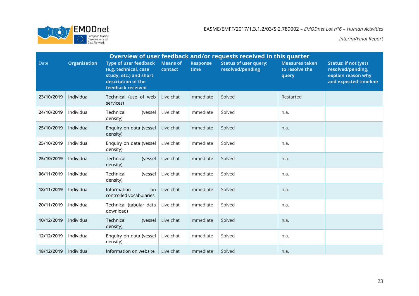

| <b>Date</b> | <b>Organisation</b> | <b>Type of user feedback</b><br>(e.g. technical, case<br>study, etc.) and short<br>description of the<br>feedback received | <b>Means of</b><br>contact | <b>Response</b><br>time | Overview of user feedback and/or requests received in this quarter<br><b>Status of user query:</b><br>resolved/pending | <b>Measures taken</b><br>to resolve the<br>query | <b>Status: if not (yet)</b><br>resolved/pending,<br>explain reason why<br>and expected timeline |
|-------------|---------------------|----------------------------------------------------------------------------------------------------------------------------|----------------------------|-------------------------|------------------------------------------------------------------------------------------------------------------------|--------------------------------------------------|-------------------------------------------------------------------------------------------------|
| 23/10/2019  | Individual          | Technical (use of web<br>services)                                                                                         | Live chat                  | Immediate               | Solved                                                                                                                 | Restarted                                        |                                                                                                 |
| 24/10/2019  | Individual          | Technical<br>(vessel<br>density)                                                                                           | Live chat                  | Immediate               | Solved                                                                                                                 | n.a.                                             |                                                                                                 |
| 25/10/2019  | Individual          | Enquiry on data (vessel<br>density)                                                                                        | Live chat                  | Immediate               | Solved                                                                                                                 | n.a.                                             |                                                                                                 |
| 25/10/2019  | Individual          | Enquiry on data (vessel<br>density)                                                                                        | Live chat                  | Immediate               | Solved                                                                                                                 | n.a.                                             |                                                                                                 |
| 25/10/2019  | Individual          | Technical<br>(vessel<br>density)                                                                                           | Live chat                  | Immediate               | Solved                                                                                                                 | n.a.                                             |                                                                                                 |
| 06/11/2019  | Individual          | Technical<br>(vessel<br>density)                                                                                           | Live chat                  | Immediate               | Solved                                                                                                                 | n.a.                                             |                                                                                                 |
| 18/11/2019  | Individual          | Information<br>on<br>controlled vocabularies                                                                               | Live chat                  | Immediate               | Solved                                                                                                                 | n.a.                                             |                                                                                                 |
| 20/11/2019  | Individual          | Technical (tabular data<br>download)                                                                                       | Live chat                  | Immediate               | Solved                                                                                                                 | n.a.                                             |                                                                                                 |
| 10/12/2019  | Individual          | Technical<br>(vessel<br>density)                                                                                           | Live chat                  | Immediate               | Solved                                                                                                                 | n.a.                                             |                                                                                                 |
| 12/12/2019  | Individual          | Enquiry on data (vessel<br>density)                                                                                        | Live chat                  | Immediate               | Solved                                                                                                                 | n.a.                                             |                                                                                                 |
| 18/12/2019  | Individual          | Information on website                                                                                                     | Live chat                  | Immediate               | Solved                                                                                                                 | n.a.                                             |                                                                                                 |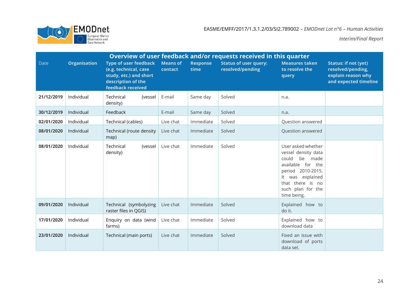

| Date       | <b>Organisation</b> | <b>Type of user feedback</b><br>(e.g. technical, case<br>study, etc.) and short<br>description of the<br>feedback received | <b>Means of</b><br>contact | <b>Response</b><br>time | Overview of user feedback and/or requests received in this quarter<br><b>Status of user query:</b><br>resolved/pending | <b>Measures taken</b><br>to resolve the<br>query                                                                                                                                    | <b>Status: if not (yet)</b><br>resolved/pending,<br>explain reason why<br>and expected timeline |
|------------|---------------------|----------------------------------------------------------------------------------------------------------------------------|----------------------------|-------------------------|------------------------------------------------------------------------------------------------------------------------|-------------------------------------------------------------------------------------------------------------------------------------------------------------------------------------|-------------------------------------------------------------------------------------------------|
| 21/12/2019 | Individual          | Technical<br>(vessel<br>density)                                                                                           | E-mail                     | Same day                | Solved                                                                                                                 | n.a.                                                                                                                                                                                |                                                                                                 |
| 30/12/2019 | Individual          | Feedback                                                                                                                   | E-mail                     | Same day                | Solved                                                                                                                 | n.a.                                                                                                                                                                                |                                                                                                 |
| 02/01/2020 | Individual          | Technical (cables)                                                                                                         | Live chat                  | Immediate               | Solved                                                                                                                 | Question answered                                                                                                                                                                   |                                                                                                 |
| 08/01/2020 | Individual          | Technical (route density<br>map)                                                                                           | Live chat                  | Immediate               | Solved                                                                                                                 | Question answered                                                                                                                                                                   |                                                                                                 |
| 08/01/2020 | Individual          | Technical<br>(vessel<br>density)                                                                                           | Live chat                  | Immediate               | Solved                                                                                                                 | User asked whether<br>vessel density data<br>could<br>be made<br>available for the<br>period 2010-2015.<br>It was explained<br>that there is no<br>such plan for the<br>time being. |                                                                                                 |
| 09/01/2020 | Individual          | Technical (symbolyzing<br>raster files in QGIS)                                                                            | Live chat                  | Immediate               | Solved                                                                                                                 | Explained how to<br>do it.                                                                                                                                                          |                                                                                                 |
| 17/01/2020 | Individual          | Enquiry on data (wind<br>farms)                                                                                            | Live chat                  | Immediate               | Solved                                                                                                                 | Explained how to<br>download data                                                                                                                                                   |                                                                                                 |
| 23/01/2020 | Individual          | Technical (main ports)                                                                                                     | Live chat                  | Immediate               | Solved                                                                                                                 | Fixed an issue with<br>download of ports<br>data set.                                                                                                                               |                                                                                                 |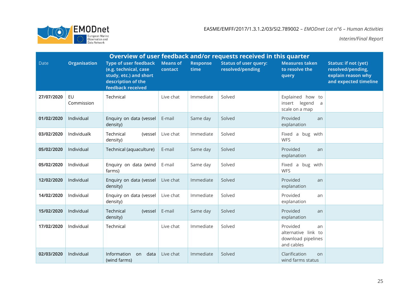

| Date       | <b>Organisation</b> | <b>Type of user feedback</b><br>(e.g. technical, case             | <b>Means of</b><br>contact | <b>Response</b><br>time | Overview of user feedback and/or requests received in this quarter<br><b>Status of user query:</b><br>resolved/pending | <b>Measures taken</b><br>to resolve the                                   | <b>Status: if not (yet)</b><br>resolved/pending, |
|------------|---------------------|-------------------------------------------------------------------|----------------------------|-------------------------|------------------------------------------------------------------------------------------------------------------------|---------------------------------------------------------------------------|--------------------------------------------------|
|            |                     | study, etc.) and short<br>description of the<br>feedback received |                            |                         |                                                                                                                        | query                                                                     | explain reason why<br>and expected timeline      |
| 27/07/2020 | EU<br>Commission    | Technical                                                         | Live chat                  | Immediate               | Solved                                                                                                                 | Explained how to<br>insert legend<br>a<br>scale on a map                  |                                                  |
| 01/02/2020 | Individual          | Enquiry on data (vessel<br>density)                               | E-mail                     | Same day                | Solved                                                                                                                 | Provided<br>an<br>explanation                                             |                                                  |
| 03/02/2020 | Individualk         | Technical<br>(vessel<br>density)                                  | Live chat                  | Immediate               | Solved                                                                                                                 | Fixed a bug with<br><b>WFS</b>                                            |                                                  |
| 05/02/2020 | Individual          | Technical (aquaculture)                                           | E-mail                     | Same day                | Solved                                                                                                                 | Provided<br>an<br>explanation                                             |                                                  |
| 05/02/2020 | Individual          | Enquiry on data (wind<br>farms)                                   | E-mail                     | Same day                | Solved                                                                                                                 | Fixed a bug with<br><b>WFS</b>                                            |                                                  |
| 12/02/2020 | Individual          | Enquiry on data (vessel<br>density)                               | Live chat                  | Immediate               | Solved                                                                                                                 | Provided<br>an<br>explanation                                             |                                                  |
| 14/02/2020 | Individual          | Enquiry on data (vessel<br>density)                               | Live chat                  | Immediate               | Solved                                                                                                                 | Provided<br>an<br>explanation                                             |                                                  |
| 15/02/2020 | Individual          | Technical<br>(vessel<br>density)                                  | E-mail                     | Same day                | Solved                                                                                                                 | Provided<br>an<br>explanation                                             |                                                  |
| 17/02/2020 | Individual          | Technical                                                         | Live chat                  | Immediate               | Solved                                                                                                                 | Provided<br>an<br>alternative link to<br>download pipelines<br>and cables |                                                  |
| 02/03/2020 | Individual          | Information<br>data<br>on<br>(wind farms)                         | Live chat                  | Immediate               | Solved                                                                                                                 | Clarification<br>on<br>wind farms status                                  |                                                  |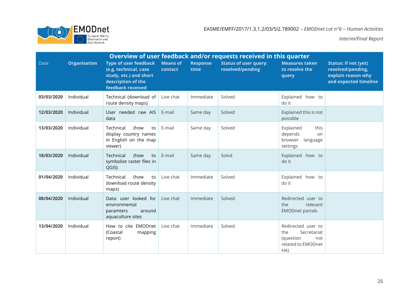

| Date       | <b>Organisation</b> | <b>Type of user feedback</b><br>(e.g. technical, case<br>study, etc.) and short<br>description of the<br>feedback received | <b>Means of</b><br>contact | <b>Response</b><br>time | Overview of user feedback and/or requests received in this quarter<br><b>Status of user query:</b><br>resolved/pending | <b>Measures taken</b><br>to resolve the<br>query                                          | <b>Status: if not (yet)</b><br>resolved/pending,<br>explain reason why<br>and expected timeline |
|------------|---------------------|----------------------------------------------------------------------------------------------------------------------------|----------------------------|-------------------------|------------------------------------------------------------------------------------------------------------------------|-------------------------------------------------------------------------------------------|-------------------------------------------------------------------------------------------------|
| 03/03/2020 | Individual          | Technical (download of<br>route density maps)                                                                              | Live chat                  | Immediate               | Solved                                                                                                                 | Explained how to<br>do it                                                                 |                                                                                                 |
| 12/03/2020 | Individual          | User needed raw AIS<br>data                                                                                                | E-mail                     | Same day                | Solved                                                                                                                 | Explained this is not<br>possible                                                         |                                                                                                 |
| 13/03/2020 | Individual          | Technical<br>(how<br>to<br>display country names<br>in English on the map<br>viewer)                                       | E-mail                     | Same day                | Solved                                                                                                                 | Explained<br>this<br>depends<br>on<br>browser<br>language<br>settings                     |                                                                                                 |
| 18/03/2020 | Individual          | Technical<br>(how<br>to<br>symbolize raster files in<br>QGIS)                                                              | E-mail                     | Same day                | Solvd                                                                                                                  | Explained how to<br>do it                                                                 |                                                                                                 |
| 01/04/2020 | Individual          | (how<br>Technical<br>to<br>download route density<br>maps)                                                                 | Live chat                  | Immediate               | Solved                                                                                                                 | Explained how to<br>do it                                                                 |                                                                                                 |
| 08/04/2020 | Individual          | Data: user looked for<br>environmental<br>paramters<br>around<br>aquaculture sites                                         | Live chat                  | Immediate               | Solved                                                                                                                 | Redirected user to<br>the<br>relevant<br><b>EMODnet portals</b>                           |                                                                                                 |
| 13/04/2020 | Individual          | How to cite EMODnet<br>(Coastal<br>mapping<br>report)                                                                      | Live chat                  | Immediate               | Solved                                                                                                                 | Redirected user to<br>the<br>Secretariat<br>(question<br>not<br>related to EMODnet<br>HA) |                                                                                                 |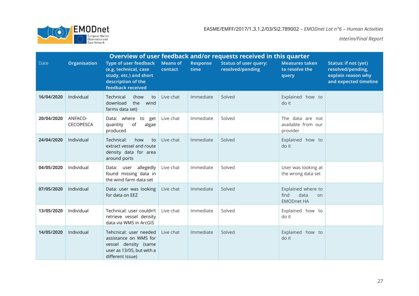

|            |                             |                                                                                                                            |                            |                         | Overview of user feedback and/or requests received in this quarter |                                                               |                                                                                                 |
|------------|-----------------------------|----------------------------------------------------------------------------------------------------------------------------|----------------------------|-------------------------|--------------------------------------------------------------------|---------------------------------------------------------------|-------------------------------------------------------------------------------------------------|
| Date       | <b>Organisation</b>         | <b>Type of user feedback</b><br>(e.g. technical, case<br>study, etc.) and short<br>description of the<br>feedback received | <b>Means of</b><br>contact | <b>Response</b><br>time | <b>Status of user query:</b><br>resolved/pending                   | <b>Measures taken</b><br>to resolve the<br>query              | <b>Status: if not (yet)</b><br>resolved/pending,<br>explain reason why<br>and expected timeline |
| 16/04/2020 | Individual                  | (how<br>Technical<br>to<br>download<br>the<br>wind<br>farms data set)                                                      | Live chat                  | Immediate               | Solved                                                             | Explained how to<br>do it                                     |                                                                                                 |
| 20/04/2020 | ANFACO-<br><b>CECOPESCA</b> | Data: where to get<br>of<br>quantity<br>algae<br>produced                                                                  | Live chat                  | Immediate               | Solved                                                             | The data are not<br>available from our<br>provider            |                                                                                                 |
| 24/04/2020 | Individual                  | Technical:<br>how<br>to<br>extract vessel and route<br>density data for area<br>around ports                               | Live chat                  | Immediate               | Solved                                                             | Explained how to<br>do it                                     |                                                                                                 |
| 04/05/2020 | Individual                  | allegedly<br>Data: user<br>found missing data in<br>the wind farm data set                                                 | Live chat                  | Immediate               | Solved                                                             | User was looking at<br>the wrong data set                     |                                                                                                 |
| 07/05/2020 | Individual                  | Data: user was looking<br>for data on EEZ                                                                                  | Live chat                  | Immediate               | Solved                                                             | Explained where to<br>find<br>data<br>on<br><b>EMODnet HA</b> |                                                                                                 |
| 13/05/2020 | Individual                  | Technical: user couldn't<br>retrieve vessel density<br>data via WMS in ArcGIS                                              | Live chat                  | Immediate               | Solved                                                             | Explained how to<br>do it                                     |                                                                                                 |
| 14/05/2020 | Individual                  | Tehcnical: user needed<br>assistance on WMS for<br>vessel density (same<br>user as 13/05, but with a<br>different issue)   | Live chat                  | Immediate               | Solved                                                             | Explained how to<br>do it                                     |                                                                                                 |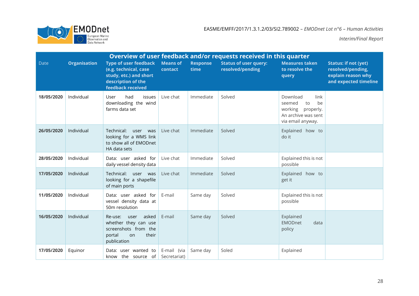

| Date       | <b>Organisation</b> | <b>Type of user feedback</b><br>(e.g. technical, case<br>study, etc.) and short<br>description of the<br>feedback received | <b>Means of</b><br>contact  | <b>Response</b><br>time | Overview of user feedback and/or requests received in this quarter<br><b>Status of user query:</b><br>resolved/pending | <b>Measures taken</b><br>to resolve the<br>query                                                        | <b>Status: if not (yet)</b><br>resolved/pending,<br>explain reason why<br>and expected timeline |
|------------|---------------------|----------------------------------------------------------------------------------------------------------------------------|-----------------------------|-------------------------|------------------------------------------------------------------------------------------------------------------------|---------------------------------------------------------------------------------------------------------|-------------------------------------------------------------------------------------------------|
| 18/05/2020 | Individual          | had<br>issues<br>User<br>downloading the wind<br>farms data set                                                            | Live chat                   | Immediate               | Solved                                                                                                                 | Download<br>link<br>be<br>seemed<br>to<br>working properly.<br>An archive was sent<br>via email anyway. |                                                                                                 |
| 26/05/2020 | Individual          | Technical:<br>user<br>was<br>looking for a WMS link<br>to show all of EMODnet<br>HA data sets                              | Live chat                   | Immediate               | Solved                                                                                                                 | Explained how to<br>do it                                                                               |                                                                                                 |
| 28/05/2020 | Individual          | Data: user asked for<br>daily vessel density data                                                                          | Live chat                   | Immediate               | Solved                                                                                                                 | Explained this is not<br>possible                                                                       |                                                                                                 |
| 17/05/2020 | Individual          | Technical: user was<br>looking for a shapefile<br>of main ports                                                            | Live chat                   | Immediate               | Solved                                                                                                                 | Explained how to<br>get it                                                                              |                                                                                                 |
| 11/05/2020 | Individual          | Data: user asked for<br>vessel density data at<br>50m resolution                                                           | E-mail                      | Same day                | Solved                                                                                                                 | Explained this is not<br>possible                                                                       |                                                                                                 |
| 16/05/2020 | Individual          | asked<br>Re-use:<br>user<br>whether they can use<br>screenshots from the<br>portal<br>their<br>on<br>publication           | E-mail                      | Same day                | Solved                                                                                                                 | Explained<br><b>FMODnet</b><br>data<br>policy                                                           |                                                                                                 |
| 17/05/2020 | Equinor             | Data: user wanted to<br>know the source of                                                                                 | E-mail (via<br>Secretariat) | Same day                | Soled                                                                                                                  | Explained                                                                                               |                                                                                                 |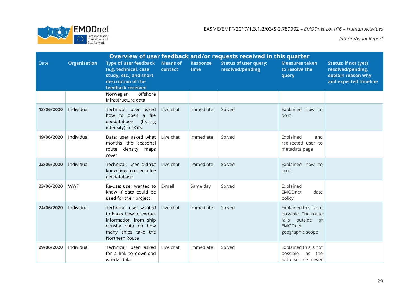

| Date       | <b>Organisation</b> | <b>Type of user feedback</b><br>(e.g. technical, case<br>study, etc.) and short<br>description of the<br>feedback received                | <b>Means of</b><br>contact | <b>Response</b><br>time | Overview of user feedback and/or requests received in this quarter<br><b>Status of user query:</b><br>resolved/pending | <b>Measures taken</b><br>to resolve the<br>query                                                       | <b>Status: if not (yet)</b><br>resolved/pending,<br>explain reason why<br>and expected timeline |
|------------|---------------------|-------------------------------------------------------------------------------------------------------------------------------------------|----------------------------|-------------------------|------------------------------------------------------------------------------------------------------------------------|--------------------------------------------------------------------------------------------------------|-------------------------------------------------------------------------------------------------|
|            |                     | Norwegian<br>offshore<br>infrastructure data                                                                                              |                            |                         |                                                                                                                        |                                                                                                        |                                                                                                 |
| 18/06/2020 | Individual          | Technical: user asked<br>how to open a file<br>geodatabase<br>(fishing)<br>intensity) in QGIS                                             | Live chat                  | Immediate               | Solved                                                                                                                 | Explained how to<br>do it                                                                              |                                                                                                 |
| 19/06/2020 | Individual          | Data: user asked what<br>months the seasonal<br>density maps<br>route<br>cover                                                            | Live chat                  | Immediate               | Solved                                                                                                                 | Explained<br>and<br>redirected user to<br>metadata page                                                |                                                                                                 |
| 22/06/2020 | Individual          | Technical: user didn'0t<br>know how to open a file<br>geodatabase                                                                         | Live chat                  | Immediate               | Solved                                                                                                                 | Explained how to<br>do it                                                                              |                                                                                                 |
| 23/06/2020 | <b>WWF</b>          | Re-use: user wanted to<br>know if data could be<br>used for their project                                                                 | E-mail                     | Same day                | Solved                                                                                                                 | Explained<br>EMODnet<br>data<br>policy                                                                 |                                                                                                 |
| 24/06/2020 | Individual          | Technical: user wanted<br>to know how to extract<br>information from ship<br>density data on how<br>many ships take the<br>Northern Route | Live chat                  | Immediate               | Solved                                                                                                                 | Explained this is not<br>possible. The route<br>falls outside of<br><b>EMODnet</b><br>geographic scope |                                                                                                 |
| 29/06/2020 | Individual          | Technical: user asked<br>for a link to download<br>wrecks data                                                                            | Live chat                  | Immediate               | Solved                                                                                                                 | Explained this is not<br>possible, as the<br>data source never                                         |                                                                                                 |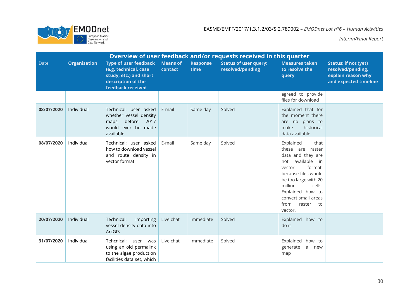

| <b>Date</b> | <b>Organisation</b> | <b>Type of user feedback</b><br>(e.g. technical, case<br>study, etc.) and short<br>description of the<br>feedback received | <b>Means of</b><br>contact | <b>Response</b><br>time | Overview of user feedback and/or requests received in this quarter<br><b>Status of user query:</b><br>resolved/pending | <b>Measures taken</b><br>to resolve the<br>query<br>agreed to provide                                                                                                                                                                                 | <b>Status: if not (yet)</b><br>resolved/pending,<br>explain reason why<br>and expected timeline |
|-------------|---------------------|----------------------------------------------------------------------------------------------------------------------------|----------------------------|-------------------------|------------------------------------------------------------------------------------------------------------------------|-------------------------------------------------------------------------------------------------------------------------------------------------------------------------------------------------------------------------------------------------------|-------------------------------------------------------------------------------------------------|
|             |                     |                                                                                                                            |                            |                         |                                                                                                                        | files for download                                                                                                                                                                                                                                    |                                                                                                 |
| 08/07/2020  | Individual          | Technical: user asked<br>whether vessel density<br>before<br>2017<br>maps<br>would ever be made<br>available               | E-mail                     | Same day                | Solved                                                                                                                 | Explained that for<br>the moment there<br>are no plans to<br>make<br>historical<br>data available                                                                                                                                                     |                                                                                                 |
| 08/07/2020  | Individual          | Technical: user asked<br>how to download vessel<br>and route density in<br>vector format                                   | E-mail                     | Same day                | Solved                                                                                                                 | that<br>Explained<br>these are raster<br>data and they are<br>not available<br>in<br>format.<br>vector<br>because files would<br>be too large with 20<br>million<br>cells.<br>Explained how to<br>convert small areas<br>from raster<br>to<br>vector. |                                                                                                 |
| 20/07/2020  | Individual          | Technical:<br>importing<br>vessel density data into<br>ArcGIS                                                              | Live chat                  | Immediate               | Solved                                                                                                                 | Explained how to<br>do it                                                                                                                                                                                                                             |                                                                                                 |
| 31/07/2020  | Individual          | Tehcnical:<br>user was<br>using an old permalink<br>to the algae production<br>facilities data set, which                  | Live chat                  | Immediate               | Solved                                                                                                                 | Explained how to<br>generate<br>a<br>new<br>map                                                                                                                                                                                                       |                                                                                                 |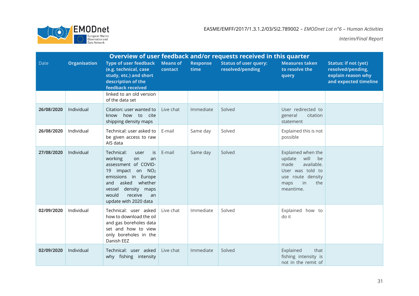

| Date       | <b>Organisation</b> | <b>Type of user feedback</b>                                                                                                                                                                                                           | <b>Means of</b> | <b>Response</b> | Overview of user feedback and/or requests received in this quarter<br><b>Status of user query:</b> | <b>Measures taken</b>                                                                                                                       | <b>Status: if not (yet)</b>                                      |
|------------|---------------------|----------------------------------------------------------------------------------------------------------------------------------------------------------------------------------------------------------------------------------------|-----------------|-----------------|----------------------------------------------------------------------------------------------------|---------------------------------------------------------------------------------------------------------------------------------------------|------------------------------------------------------------------|
|            |                     | (e.g. technical, case<br>study, etc.) and short<br>description of the<br>feedback received                                                                                                                                             | contact         | time            | resolved/pending                                                                                   | to resolve the<br>query                                                                                                                     | resolved/pending,<br>explain reason why<br>and expected timeline |
|            |                     | linked to an old version<br>of the data set                                                                                                                                                                                            |                 |                 |                                                                                                    |                                                                                                                                             |                                                                  |
| 26/08/2020 | Individual          | Citation: user wanted to<br>how to cite<br>know<br>shipping density maps                                                                                                                                                               | Live chat       | Immediate       | Solved                                                                                             | User redirected to<br>citation<br>general<br>statement                                                                                      |                                                                  |
| 26/08/2020 | Individual          | Technical: user asked to<br>be given access to raw<br>AIS data                                                                                                                                                                         | E-mail          | Same day        | Solved                                                                                             | Explained this is not<br>possible                                                                                                           |                                                                  |
| 27/08/2020 | Individual          | Technical:<br>is<br>user<br>working<br>on<br>an<br>assessment of COVID-<br>19 impact on NO <sub>2</sub><br>emissions in Europe<br>asked<br>whether<br>and<br>density maps<br>vessel<br>would<br>receive<br>an<br>update with 2020 data | E-mail          | Same day        | Solved                                                                                             | Explained when the<br>will<br>update<br>be<br>available.<br>made<br>User was told to<br>use route density<br>in<br>the<br>maps<br>meantime. |                                                                  |
| 02/09/2020 | Individual          | Technical: user asked<br>how to download the oil<br>and gas boreholes data<br>set and how to view<br>only boreholes in the<br>Danish EEZ                                                                                               | Live chat       | Immediate       | Solved                                                                                             | Explained how to<br>do it                                                                                                                   |                                                                  |
| 02/09/2020 | Individual          | Technical: user asked<br>why fishing intensity                                                                                                                                                                                         | Live chat       | Immediate       | Solved                                                                                             | Explained<br>that<br>fishing intensity is<br>not in the remit of                                                                            |                                                                  |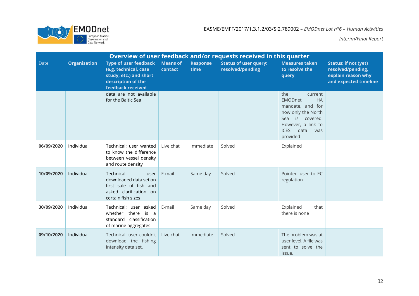

|             |                     |                                                                                                                            |                            |                         | Overview of user feedback and/or requests received in this quarter |                                                                                                                                                                               |                                                                                                 |
|-------------|---------------------|----------------------------------------------------------------------------------------------------------------------------|----------------------------|-------------------------|--------------------------------------------------------------------|-------------------------------------------------------------------------------------------------------------------------------------------------------------------------------|-------------------------------------------------------------------------------------------------|
| <b>Date</b> | <b>Organisation</b> | <b>Type of user feedback</b><br>(e.g. technical, case<br>study, etc.) and short<br>description of the<br>feedback received | <b>Means of</b><br>contact | <b>Response</b><br>time | <b>Status of user query:</b><br>resolved/pending                   | <b>Measures taken</b><br>to resolve the<br>query                                                                                                                              | <b>Status: if not (yet)</b><br>resolved/pending,<br>explain reason why<br>and expected timeline |
|             |                     | data are not available<br>for the Baltic Sea                                                                               |                            |                         |                                                                    | the<br>current<br><b>FMODnet</b><br><b>HA</b><br>mandate, and for<br>now only the North<br>is covered.<br>Sea<br>However, a link to<br><b>ICES</b><br>data<br>was<br>provided |                                                                                                 |
| 06/09/2020  | Individual          | Technical: user wanted<br>to know the difference<br>between vessel density<br>and route density                            | Live chat                  | Immediate               | Solved                                                             | Explained                                                                                                                                                                     |                                                                                                 |
| 10/09/2020  | Individual          | Technical:<br>user<br>downloaded data set on<br>first sale of fish and<br>asked clarification on<br>certain fish sizes     | E-mail                     | Same day                | Solved                                                             | Pointed user to EC<br>regulation                                                                                                                                              |                                                                                                 |
| 30/09/2020  | Individual          | Technical: user asked<br>whether there is a<br>standard classification<br>of marine aggregates                             | E-mail                     | Same day                | Solved                                                             | Explained<br>that<br>there is none                                                                                                                                            |                                                                                                 |
| 09/10/2020  | Individual          | Technical: user couldn't<br>download the fishing<br>intensity data set.                                                    | Live chat                  | Immediate               | Solved                                                             | The problem was at<br>user level. A file was<br>sent to solve the<br>issue.                                                                                                   |                                                                                                 |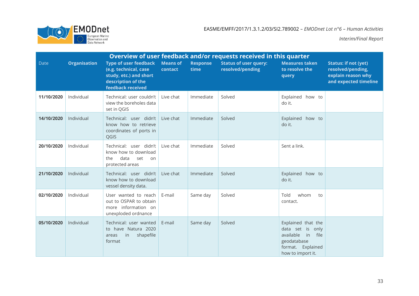

| Date       | <b>Organisation</b> | <b>Type of user feedback</b><br>(e.g. technical, case<br>study, etc.) and short<br>description of the<br>feedback received | <b>Means of</b><br>contact | <b>Response</b><br>time | Overview of user feedback and/or requests received in this quarter<br><b>Status of user query:</b><br>resolved/pending | <b>Measures taken</b><br>to resolve the<br>query                                                                           | <b>Status: if not (yet)</b><br>resolved/pending,<br>explain reason why<br>and expected timeline |
|------------|---------------------|----------------------------------------------------------------------------------------------------------------------------|----------------------------|-------------------------|------------------------------------------------------------------------------------------------------------------------|----------------------------------------------------------------------------------------------------------------------------|-------------------------------------------------------------------------------------------------|
| 11/10/2020 | Individual          | Technical: user couldn't<br>view the boreholes data<br>set in QGIS                                                         | Live chat                  | Immediate               | Solved                                                                                                                 | Explained how to<br>do it.                                                                                                 |                                                                                                 |
| 14/10/2020 | Individual          | Technical: user didn't<br>know how to retrieve<br>coordinates of ports in<br>QGIS                                          | Live chat                  | Immediate               | Solved                                                                                                                 | Explained how to<br>do it.                                                                                                 |                                                                                                 |
| 20/10/2020 | Individual          | Technical: user didn't<br>know how to download<br>data<br>the<br>set<br>on<br>protected areas                              | Live chat                  | Immediate               | Solved                                                                                                                 | Sent a link.                                                                                                               |                                                                                                 |
| 21/10/2020 | Individual          | Technical: user didn't<br>know how to download<br>vessel density data.                                                     | Live chat                  | Immediate               | Solved                                                                                                                 | Explained how to<br>do it.                                                                                                 |                                                                                                 |
| 02/10/2020 | Individual          | User wanted to reach<br>out to OSPAR to obtain<br>more information on<br>unexploded ordnance                               | E-mail                     | Same day                | Solved                                                                                                                 | Told<br>whom<br>to<br>contact.                                                                                             |                                                                                                 |
| 05/10/2020 | Individual          | Technical: user wanted<br>have Natura 2020<br>to<br>shapefile<br>in<br>areas<br>format                                     | E-mail                     | Same day                | Solved                                                                                                                 | Explained that the<br>data set is only<br>available<br>in<br>file<br>geodatabase<br>format. Explained<br>how to import it. |                                                                                                 |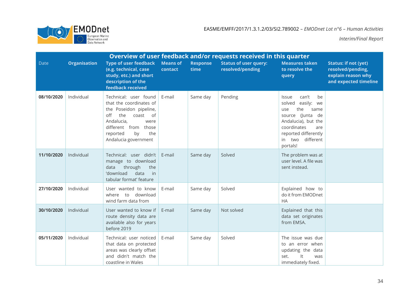

| <b>Date</b> | <b>Organisation</b> | <b>Type of user feedback</b><br>(e.g. technical, case<br>study, etc.) and short<br>description of the<br>feedback received                                                                                      | <b>Means of</b><br>contact | <b>Response</b><br>time | Overview of user feedback and/or requests received in this quarter<br><b>Status of user query:</b><br>resolved/pending | <b>Measures taken</b><br>to resolve the<br>query                                                                                                                                                      | <b>Status: if not (yet)</b><br>resolved/pending,<br>explain reason why<br>and expected timeline |
|-------------|---------------------|-----------------------------------------------------------------------------------------------------------------------------------------------------------------------------------------------------------------|----------------------------|-------------------------|------------------------------------------------------------------------------------------------------------------------|-------------------------------------------------------------------------------------------------------------------------------------------------------------------------------------------------------|-------------------------------------------------------------------------------------------------|
| 08/10/2020  | Individual          | Technical: user found<br>that the coordinates of<br>the Poseidon pipeline,<br>$\int$ ff<br>the<br>coast<br>of<br>Andalucia,<br>were<br>different from<br>those<br>the<br>reported<br>by<br>Andalucia government | E-mail                     | Same day                | Pending                                                                                                                | can't<br>be<br><i>Issue</i><br>easily: we<br>solved<br>the<br>same<br>use<br>source (Junta<br>de<br>Andalucia), but the<br>coordinates<br>are<br>reported differently<br>in two different<br>portals! |                                                                                                 |
| 11/10/2020  | Individual          | Technical: user didn't<br>manage to download<br>through<br>the<br>data<br>'download<br>data<br>in<br>tabular format' feature                                                                                    | E-mail                     | Same day                | Solved                                                                                                                 | The problem was at<br>user level. A file was<br>sent instead.                                                                                                                                         |                                                                                                 |
| 27/10/2020  | Individual          | User wanted to know<br>where to<br>download<br>wind farm data from                                                                                                                                              | E-mail                     | Same day                | Solved                                                                                                                 | Explained how to<br>do it from EMODnet<br><b>HA</b>                                                                                                                                                   |                                                                                                 |
| 30/10/2020  | Individual          | User wanted to know if<br>route density data are<br>available also for years<br>before 2019                                                                                                                     | E-mail                     | Same day                | Not solved                                                                                                             | Explained that this<br>data set originates<br>from EMSA.                                                                                                                                              |                                                                                                 |
| 05/11/2020  | Individual          | Technical: user noticed<br>that data on protected<br>areas was clearly offset<br>and didn't match the<br>coastline in Wales                                                                                     | E-mail                     | Same day                | Solved                                                                                                                 | The issue was due<br>to an error when<br>updating the data<br>It<br>set.<br>was<br>immediately fixed.                                                                                                 |                                                                                                 |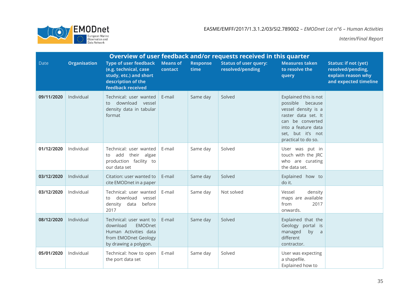

| Date       | <b>Organisation</b> | <b>Type of user feedback</b><br>(e.g. technical, case<br>study, etc.) and short<br>description of the                           | <b>Means of</b><br>contact | <b>Response</b><br>time | Overview of user feedback and/or requests received in this quarter<br><b>Status of user query:</b><br>resolved/pending | <b>Measures taken</b><br>to resolve the<br>query                                                                                                                               | <b>Status: if not (yet)</b><br>resolved/pending,<br>explain reason why<br>and expected timeline |
|------------|---------------------|---------------------------------------------------------------------------------------------------------------------------------|----------------------------|-------------------------|------------------------------------------------------------------------------------------------------------------------|--------------------------------------------------------------------------------------------------------------------------------------------------------------------------------|-------------------------------------------------------------------------------------------------|
|            |                     | feedback received                                                                                                               |                            |                         |                                                                                                                        |                                                                                                                                                                                |                                                                                                 |
| 09/11/2020 | Individual          | Technical: user wanted<br>download vessel<br>to<br>density data in tabular<br>format                                            | E-mail                     | Same day                | Solved                                                                                                                 | Explained this is not<br>possible because<br>vessel density is a<br>raster data set. It<br>can be converted<br>into a feature data<br>set, but it's not<br>practical to do so. |                                                                                                 |
| 01/12/2020 | Individual          | Technical: user wanted<br>add their algae<br>to<br>production facility to<br>our data set                                       | E-mail                     | Same day                | Solved                                                                                                                 | User was put in<br>touch with the JRC<br>who are curating<br>the data set.                                                                                                     |                                                                                                 |
| 03/12/2020 | Individual          | Citation: user wanted to<br>cite EMODnet in a paper                                                                             | E-mail                     | Same day                | Solved                                                                                                                 | Explained how to<br>do it.                                                                                                                                                     |                                                                                                 |
| 03/12/2020 | Individual          | Technical: user wanted<br>download<br>vessel<br>to<br>density data<br>before<br>2017                                            | E-mail                     | Same day                | Not solved                                                                                                             | density<br>Vessel<br>maps are available<br>from<br>2017<br>onwards.                                                                                                            |                                                                                                 |
| 08/12/2020 | Individual          | Technical: user want to<br>download<br><b>EMODnet</b><br>Human Activities data<br>from EMODnet Geology<br>by drawing a polygon. | E-mail                     | Same day                | Solved                                                                                                                 | Explained that the<br>Geology portal is<br>managed<br>by<br>a<br>different<br>contractor.                                                                                      |                                                                                                 |
| 05/01/2020 | Individual          | Technical: how to open<br>the port data set                                                                                     | E-mail                     | Same day                | Solved                                                                                                                 | User was expecting<br>a shapefile.<br>Explained how to                                                                                                                         |                                                                                                 |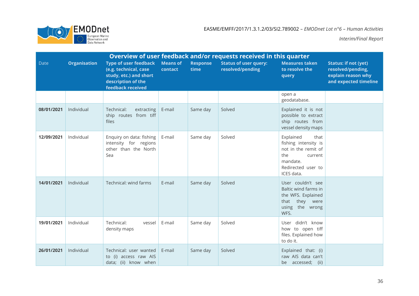

| Date       | <b>Organisation</b> | <b>Type of user feedback</b><br>(e.g. technical, case<br>study, etc.) and short<br>description of the | <b>Means of</b><br>contact | <b>Response</b><br>time | Overview of user feedback and/or requests received in this quarter<br><b>Status of user query:</b><br>resolved/pending | <b>Measures taken</b><br>to resolve the<br>query                                                                                   | <b>Status: if not (yet)</b><br>resolved/pending,<br>explain reason why<br>and expected timeline |
|------------|---------------------|-------------------------------------------------------------------------------------------------------|----------------------------|-------------------------|------------------------------------------------------------------------------------------------------------------------|------------------------------------------------------------------------------------------------------------------------------------|-------------------------------------------------------------------------------------------------|
|            |                     | feedback received                                                                                     |                            |                         |                                                                                                                        |                                                                                                                                    |                                                                                                 |
|            |                     |                                                                                                       |                            |                         |                                                                                                                        | open a<br>geodatabase.                                                                                                             |                                                                                                 |
| 08/01/2021 | Individual          | Technical:<br>extracting<br>ship routes from tiff<br>files                                            | E-mail                     | Same day                | Solved                                                                                                                 | Explained it is not<br>possible to extract<br>ship routes from<br>vessel density maps                                              |                                                                                                 |
| 12/09/2021 | Individual          | Enquiry on data: fishing<br>intensity for regions<br>other than the North<br>Sea                      | E-mail                     | Same day                | Solved                                                                                                                 | Explained<br>that<br>fishing intensity is<br>not in the remit of<br>the<br>current<br>mandate.<br>Redirected user to<br>ICES data. |                                                                                                 |
| 14/01/2021 | Individual          | Technical: wind farms                                                                                 | E-mail                     | Same day                | Solved                                                                                                                 | User couldn't see<br>Baltic wind farms in<br>the WFS. Explained<br>they were<br>that<br>using the wrong<br>WFS.                    |                                                                                                 |
| 19/01/2021 | Individual          | Technical:<br>vessel<br>density maps                                                                  | E-mail                     | Same day                | Solved                                                                                                                 | User didn't know<br>how to open tiff<br>files. Explained how<br>to do it.                                                          |                                                                                                 |
| 26/01/2021 | Individual          | Technical: user wanted<br>to (i) access raw AIS<br>data; (ii) know when                               | E-mail                     | Same day                | Solved                                                                                                                 | Explained that: (i)<br>raw AIS data can't<br>be accessed;<br>(ii)                                                                  |                                                                                                 |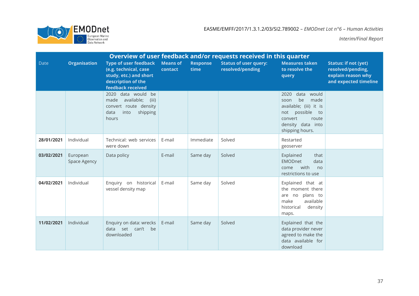

| Overview of user feedback and/or requests received in this quarter |                                 |                                                                                                                            |                            |                         |                                                  |                                                                                                                                                      |                                                                                                 |
|--------------------------------------------------------------------|---------------------------------|----------------------------------------------------------------------------------------------------------------------------|----------------------------|-------------------------|--------------------------------------------------|------------------------------------------------------------------------------------------------------------------------------------------------------|-------------------------------------------------------------------------------------------------|
| Date                                                               | <b>Organisation</b>             | <b>Type of user feedback</b><br>(e.g. technical, case<br>study, etc.) and short<br>description of the<br>feedback received | <b>Means of</b><br>contact | <b>Response</b><br>time | <b>Status of user query:</b><br>resolved/pending | <b>Measures taken</b><br>to resolve the<br>query                                                                                                     | <b>Status: if not (yet)</b><br>resolved/pending,<br>explain reason why<br>and expected timeline |
|                                                                    |                                 | 2020 data would be<br>available;<br>made<br>(iii)<br>convert route density<br>shipping<br>data<br>into<br>hours            |                            |                         |                                                  | data would<br>2020<br>be<br>made<br>soon<br>available; (iii) it is<br>not possible<br>to<br>convert<br>route<br>density data into<br>shipping hours. |                                                                                                 |
| 28/01/2021                                                         | Individual                      | Technical: web services<br>were down                                                                                       | E-mail                     | Immediate               | Solved                                           | Restarted<br>geoserver                                                                                                                               |                                                                                                 |
| 03/02/2021                                                         | European<br><b>Space Agency</b> | Data policy                                                                                                                | E-mail                     | Same day                | Solved                                           | Explained<br>that<br><b>EMODnet</b><br>data<br>with<br>come<br>no<br>restrictions to use                                                             |                                                                                                 |
| 04/02/2021                                                         | Individual                      | Enquiry on historical<br>vessel density map                                                                                | E-mail                     | Same day                | Solved                                           | Explained that at<br>the moment there<br>plans to<br>are no<br>available<br>make<br>historical<br>density<br>maps.                                   |                                                                                                 |
| 11/02/2021                                                         | Individual                      | Enquiry on data: wrecks<br>data set can't be<br>downloaded                                                                 | E-mail                     | Same day                | Solved                                           | Explained that the<br>data provider never<br>agreed to make the<br>data available for<br>download                                                    |                                                                                                 |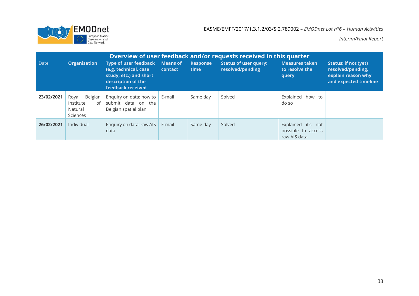

|            | Overview of user feedback and/or requests received in this quarter |                                                                                                                            |                            |                         |                                                  |                                                          |                                                                                          |  |
|------------|--------------------------------------------------------------------|----------------------------------------------------------------------------------------------------------------------------|----------------------------|-------------------------|--------------------------------------------------|----------------------------------------------------------|------------------------------------------------------------------------------------------|--|
| Date       | <b>Organisation</b>                                                | <b>Type of user feedback</b><br>(e.g. technical, case<br>study, etc.) and short<br>description of the<br>feedback received | <b>Means of</b><br>contact | <b>Response</b><br>time | <b>Status of user query:</b><br>resolved/pending | <b>Measures taken</b><br>to resolve the<br>query         | Status: if not (yet)<br>resolved/pending,<br>explain reason why<br>and expected timeline |  |
| 23/02/2021 | Belgian<br>Royal<br>Institute<br>of<br>Natural<br>Sciences         | Enquiry on data: how to<br>submit data on the<br>Belgian spatial plan                                                      | E-mail                     | Same day                | Solved                                           | Explained how to<br>do so                                |                                                                                          |  |
| 26/02/2021 | Individual                                                         | Enquiry on data: raw AIS<br>data                                                                                           | E-mail                     | Same day                | Solved                                           | Explained it's not<br>possible to access<br>raw AIS data |                                                                                          |  |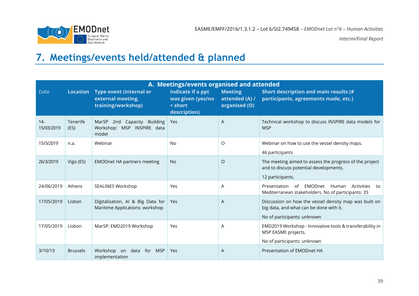

## **7. Meetings/events held/attended & planned**

<span id="page-38-0"></span>

|                      | A. Meetings/events organised and attended |                                                                                 |                                                                   |                                                   |                                                                                                                                 |  |
|----------------------|-------------------------------------------|---------------------------------------------------------------------------------|-------------------------------------------------------------------|---------------------------------------------------|---------------------------------------------------------------------------------------------------------------------------------|--|
| <b>Date</b>          | <b>Location</b>                           | <b>Type event (internal or</b><br>external meeting,<br>training/workshop)       | Indicate if a ppt<br>was given (yes/no<br>+ short<br>description) | <b>Meeting</b><br>attended (A) /<br>organised (O) | Short description and main results (#<br>participants, agreements made, etc.)                                                   |  |
| $14 -$<br>15/03/2019 | Tenerife<br>(ES)                          | 2nd Capacity<br>MarSP<br><b>Building</b><br>Workshop: MSP INSPIRE data<br>model | Yes                                                               | A                                                 | Technical workshop to discuss INSPIRE data models for<br><b>MSP</b>                                                             |  |
| 15/3/2019            | n.a.                                      | Webinar                                                                         | <b>No</b>                                                         | O                                                 | Webinar on how to use the vessel density maps.<br>46 participants                                                               |  |
| 26/3/2019            | Vigo (ES)                                 | <b>EMODnet HA partners meeting</b>                                              | <b>No</b>                                                         | $\circ$                                           | The meeting aimed to assess the progress of the project<br>and to discuss potential developments.<br>12 participants.           |  |
| 24/06/2019           | Athens                                    | <b>SEALINES Workshop</b>                                                        | Yes                                                               | A                                                 | Presentation of<br>EMODnet Human<br>Activities<br>to<br>Mediterranean stakeholders. No of participants: 35                      |  |
| 17/05/2019           | Lisbon                                    | Digitalisation, Al & Big Data for<br>Maritime Applications: workshop            | Yes                                                               | A                                                 | Discussion on how the vessel density map was built on<br>big data, and what can be done with it.<br>No of participants: unknown |  |
| 17/05/2019           | Lisbon                                    | MarSP: EMD2019 Workshop                                                         | Yes                                                               | A                                                 | EMD2019 Workshop - Innovative tools & transferability in<br>MSP EASME projects.<br>No of participants: unknown                  |  |
| 3/10/19              | <b>Brussels</b>                           | Workshop on data for MSP<br>implementation                                      | <b>Yes</b>                                                        | A                                                 | Presentation of EMODnet HA                                                                                                      |  |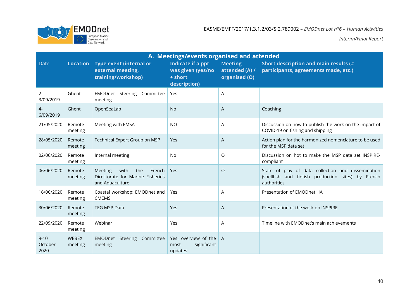

|                             | A. Meetings/events organised and attended |                                                                                                |                                                                   |                                                   |                                                                                                                         |  |
|-----------------------------|-------------------------------------------|------------------------------------------------------------------------------------------------|-------------------------------------------------------------------|---------------------------------------------------|-------------------------------------------------------------------------------------------------------------------------|--|
| <b>Date</b>                 | <b>Location</b>                           | <b>Type event (internal or</b><br>external meeting,<br>training/workshop)                      | Indicate if a ppt<br>was given (yes/no<br>+ short<br>description) | <b>Meeting</b><br>attended (A) /<br>organised (O) | Short description and main results (#<br>participants, agreements made, etc.)                                           |  |
| $2 -$<br>3/09/2019          | Ghent                                     | EMODnet Steering Committee<br>meeting                                                          | Yes                                                               | Α                                                 |                                                                                                                         |  |
| $4-$<br>6/09/2019           | Ghent                                     | OpenSeaLab                                                                                     | <b>No</b>                                                         | A                                                 | Coaching                                                                                                                |  |
| 21/05/2020                  | Remote<br>meeting                         | Meeting with EMSA                                                                              | <b>NO</b>                                                         | A                                                 | Discussion on how to publish the work on the impact of<br>COVID-19 on fishing and shipping                              |  |
| 28/05/2020                  | Remote<br>meeting                         | Technical Expert Group on MSP                                                                  | Yes                                                               | A                                                 | Action plan for the harmonized nomenclature to be used<br>for the MSP data set                                          |  |
| 02/06/2020                  | Remote<br>meeting                         | Internal meeting                                                                               | <b>No</b>                                                         | O                                                 | Discussion on hot to make the MSP data set INSPIRE-<br>compliant                                                        |  |
| 06/06/2020                  | Remote<br>meeting                         | with<br>the<br><b>Meeting</b><br>French<br>Directorate for Marine Fisheries<br>and Aquaculture | Yes                                                               | $\circ$                                           | State of play of data collection and dissemination<br>(shellfish and finfish production sites) by French<br>authorities |  |
| 16/06/2020                  | Remote<br>meeting                         | Coastal workshop: EMODnet and<br><b>CMEMS</b>                                                  | Yes                                                               | A                                                 | Presentation of EMODnet HA                                                                                              |  |
| 30/06/2020                  | Remote<br>meeting                         | <b>TEG MSP Data</b>                                                                            | Yes                                                               | A                                                 | Presentation of the work on INSPIRE                                                                                     |  |
| 22/09/2020                  | Remote<br>meeting                         | Webinar                                                                                        | Yes                                                               | A                                                 | Timeline with EMODnet's main achievements                                                                               |  |
| $9 - 10$<br>October<br>2020 | WEBEX<br>meeting                          | EMODnet Steering<br>Committee<br>meeting                                                       | Yes: overview of the<br>significant<br>most<br>updates            | $\overline{A}$                                    |                                                                                                                         |  |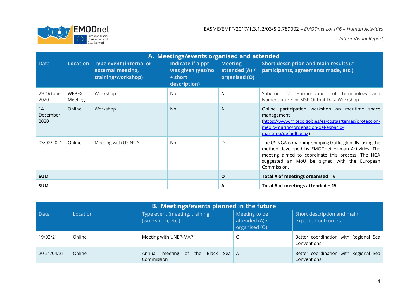

|                               | A. Meetings/events organised and attended |                                                                           |                                                                   |                                                   |                                                                                                                                                                                                                                     |  |
|-------------------------------|-------------------------------------------|---------------------------------------------------------------------------|-------------------------------------------------------------------|---------------------------------------------------|-------------------------------------------------------------------------------------------------------------------------------------------------------------------------------------------------------------------------------------|--|
| <b>Date</b>                   | Location                                  | <b>Type event (internal or</b><br>external meeting,<br>training/workshop) | Indicate if a ppt<br>was given (yes/no<br>+ short<br>description) | <b>Meeting</b><br>attended (A) /<br>organised (O) | Short description and main results (#<br>participants, agreements made, etc.)                                                                                                                                                       |  |
| 29 October<br>2020            | WEBEX<br>Meeting                          | Workshop                                                                  | <b>No</b>                                                         | A                                                 | Subgroup 2- Harmonization of Terminology<br>and<br>Nomenclature for MSP Output Data Workshop                                                                                                                                        |  |
| 14<br><b>December</b><br>2020 | Online                                    | Workshop                                                                  | <b>No</b>                                                         | A                                                 | Online participation workshop on maritime space<br>management<br>(https://www.miteco.gob.es/es/costas/temas/proteccion-<br>medio-marino/ordenacion-del-espacio-<br>maritimo/default.aspx)                                           |  |
| 03/02/2021                    | Online                                    | Meeting with US NGA                                                       | <b>No</b>                                                         | $\circ$                                           | The US NGA is mapping shipping traffic globally, using the<br>method developed by EMODnet Human Activities. The<br>meeting aimed to coordinate this process. The NGA<br>suggested an MoU be signed with the European<br>Commission. |  |
| <b>SUM</b>                    |                                           |                                                                           |                                                                   | $\mathbf{o}$                                      | Total # of meetings organised = $6$                                                                                                                                                                                                 |  |
| <b>SUM</b>                    |                                           |                                                                           |                                                                   | A                                                 | Total # of meetings attended = $15$                                                                                                                                                                                                 |  |

|             | B. Meetings/events planned in the future |                                                    |                                                  |                                                             |  |  |  |
|-------------|------------------------------------------|----------------------------------------------------|--------------------------------------------------|-------------------------------------------------------------|--|--|--|
| Date        | Location                                 | Type event (meeting, training<br>(workshop), etc.) | Meeting to be<br>attended (A) /<br>organised (O) | Short description and main<br>expected outcomes             |  |  |  |
| 19/03/21    | Online                                   | Meeting with UNEP-MAP                              | O                                                | Better coordination with Regional Sea<br>Conventions        |  |  |  |
| 20-21/04/21 | Online                                   | Annual meeting of the Black Sea A<br>Commission    |                                                  | Better coordination with Regional Sea<br><b>Conventions</b> |  |  |  |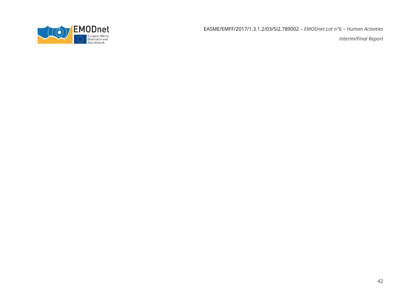

EASME/EMFF/2017/1.3.1.2/03/SI2.789002 *– EMODnet Lot n°6 – Human Activities*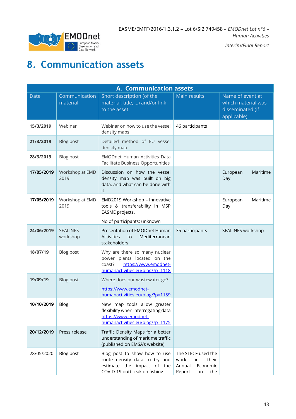

EASME/EMFF/2016/1.3.1.2 – Lot 6/SI2.749458 *– EMODnet Lot n°6 – Human Activities*

*Interim/Final Report*

# <span id="page-42-0"></span>**8. Communication assets**

|             |                             | A. Communication assets                                                                                                           |                                                                                        |                                                                           |
|-------------|-----------------------------|-----------------------------------------------------------------------------------------------------------------------------------|----------------------------------------------------------------------------------------|---------------------------------------------------------------------------|
| <b>Date</b> | Communication<br>material   | Short description (of the<br>material, title, ) and/or link<br>to the asset                                                       | Main results                                                                           | Name of event at<br>which material was<br>disseminated (if<br>applicable) |
| 15/3/2019   | Webinar                     | Webinar on how to use the vessel<br>density maps                                                                                  | 46 participants                                                                        |                                                                           |
| 21/3/2019   | <b>Blog post</b>            | Detailed method of EU vessel<br>density map                                                                                       |                                                                                        |                                                                           |
| 28/3/2019   | Blog post                   | <b>EMODnet Human Activities Data</b><br>Facilitate Business Opportunities                                                         |                                                                                        |                                                                           |
| 17/05/2019  | Workshop at EMD<br>2019     | Discussion on how the vessel<br>density map was built on big<br>data, and what can be done with<br>it.                            |                                                                                        | Maritime<br>European<br>Day                                               |
| 17/05/2019  | Workshop at EMD<br>2019     | EMD2019 Workshop - Innovative<br>tools & transferability in MSP<br>EASME projects.                                                |                                                                                        | Maritime<br>European<br>Day                                               |
|             |                             | No of participants: unknown                                                                                                       |                                                                                        |                                                                           |
| 24/06/2019  | <b>SEALINES</b><br>workshop | Presentation of EMODnet Human<br>Mediterranean<br><b>Activities</b><br>to<br>stakeholders.                                        | 35 participants                                                                        | SEALINES workshop                                                         |
| 18/07/19    | Blog post                   | Why are there so many nuclear<br>power plants located on the<br>https://www.emodnet-<br>coast?<br>humanactivities.eu/blog/?p=1118 |                                                                                        |                                                                           |
| 19/09/19    | <b>Blog post</b>            | Where does our wastewater go?<br>https://www.emodnet-<br>humanactivities.eu/blog/?p=1159                                          |                                                                                        |                                                                           |
| 10/10/2019  | <b>Blog</b>                 | New map tools allow greater<br>flexibility when interrogating data<br>https://www.emodnet-<br>humanactivities.eu/blog/?p=1175     |                                                                                        |                                                                           |
| 20/12/2019  | Press release               | Traffic Density Maps for a better<br>understanding of maritime traffic<br>(published on EMSA's website)                           |                                                                                        |                                                                           |
| 28/05/2020  | Blog post                   | Blog post to show how to use<br>route density data to try and<br>estimate the impact of the<br>COVID-19 outbreak on fishing       | The STECF used the<br>work<br>their<br>in<br>Annual<br>Economic<br>Report<br>the<br>on |                                                                           |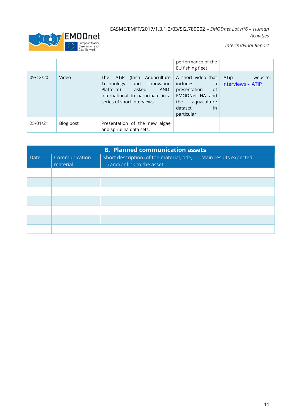

EASME/EMFF/2017/1.3.1.2/03/SI2.789002 *– EMODnet Lot n°6 – Human Activities*

|          |           |                                                                                                                                                                     | performance of the<br>EU fishing fleet                                                                                           |                                                       |
|----------|-----------|---------------------------------------------------------------------------------------------------------------------------------------------------------------------|----------------------------------------------------------------------------------------------------------------------------------|-------------------------------------------------------|
| 09/12/20 | Video     | (Irish Aquaculture<br>The IATiP<br>Innovation<br>Technology<br>and<br>Platform)<br>AND-<br>asked<br>International to participate in a<br>series of short interviews | A short video that<br>includes<br>a<br>presentation<br>of<br>EMODNet HA and<br>aquaculture<br>the<br>in<br>dataset<br>particular | website:<br><b>IATip</b><br><b>Interviews - IATIP</b> |
| 25/01/21 | Blog post | Presentation of the new algae<br>and spirulina data sets.                                                                                                           |                                                                                                                                  |                                                       |

| <b>B. Planned communication assets</b> |                           |                                                                          |                       |  |  |  |
|----------------------------------------|---------------------------|--------------------------------------------------------------------------|-----------------------|--|--|--|
| <b>Date</b>                            | Communication<br>material | Short description (of the material, title,<br>) and/or link to the asset | Main results expected |  |  |  |
|                                        |                           |                                                                          |                       |  |  |  |
|                                        |                           |                                                                          |                       |  |  |  |
|                                        |                           |                                                                          |                       |  |  |  |
|                                        |                           |                                                                          |                       |  |  |  |
|                                        |                           |                                                                          |                       |  |  |  |
|                                        |                           |                                                                          |                       |  |  |  |
|                                        |                           |                                                                          |                       |  |  |  |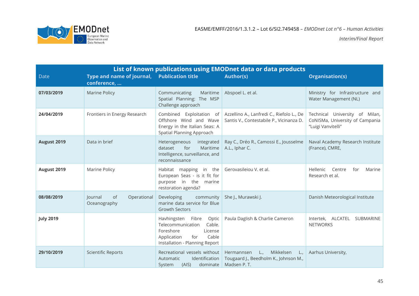

| List of known publications using EMODnet data or data products |                                                            |                                                                                                                                                       |                                                                                                    |                                                                                         |  |  |
|----------------------------------------------------------------|------------------------------------------------------------|-------------------------------------------------------------------------------------------------------------------------------------------------------|----------------------------------------------------------------------------------------------------|-----------------------------------------------------------------------------------------|--|--|
| <b>Date</b>                                                    | Type and name of journal, Publication title<br>conference, |                                                                                                                                                       | <b>Author(s)</b>                                                                                   | <b>Organisation(s)</b>                                                                  |  |  |
| 07/03/2019                                                     | <b>Marine Policy</b>                                       | Communicating<br>Maritime<br>Spatial Planning: The MSP<br>Challenge approach                                                                          | Abspoel L. et al.                                                                                  | Ministry for Infrastructure and<br>Water Management (NL)                                |  |  |
| 24/04/2019                                                     | Frontiers in Energy Research                               | Combined Exploitation of<br>Offshore Wind and Wave<br>Energy in the Italian Seas: A<br>Spatial Planning Approach                                      | Azzellino A., Lanfredi C., Riefolo L., De<br>Santis V., Contestabile P., Vicinanza D.              | Technical University of Milan,<br>CoNISMa, University of Campania<br>"Luigi Vanvitelli" |  |  |
| August 2019                                                    | Data in brief                                              | integrated<br>Heterogeneous<br>Maritime<br>dataset<br>for<br>Intelligence, surveillance, and<br>reconnaissance                                        | Ray C., Dréo R., Camossi E., Jousselme<br>A.L., Iphar C.                                           | Naval Academy Research Institute<br>(France), CMRE,                                     |  |  |
| August 2019                                                    | Marine Policy                                              | Habitat mapping in the<br>European Seas - is it fit for<br>purpose in the marine<br>restoration agenda?                                               | Gerovasileiou V. et al.                                                                            | Hellenic<br>for<br>Marine<br>Centre<br>Research et al.                                  |  |  |
| 08/08/2019                                                     | of<br>Operational<br>Journal<br>Oceanography               | Developing<br>community<br>marine data service for Blue<br><b>Growth Sectors</b>                                                                      | She J., Murawski J.                                                                                | Danish Meteorological Institute                                                         |  |  |
| <b>July 2019</b>                                               |                                                            | Havhingsten<br>Fibre<br>Optic<br>Telecommunication<br>Cable.<br>Foreshore<br>License<br>Cable<br>Application<br>for<br>Installation - Planning Report | Paula Daglish & Charlie Cameron                                                                    | Intertek, ALCATEL<br>SUBMARINE<br><b>NETWORKS</b>                                       |  |  |
| 29/10/2019                                                     | <b>Scientific Reports</b>                                  | Recreational vessels without<br>Identification<br>Automatic<br>(AIS)<br>dominate<br>System                                                            | L., Mikkelsen<br>Hermannsen<br>$L_{\cdot}$<br>Tougaard J., Beedholm K., Johnson M.,<br>Madsen P.T. | Aarhus University,                                                                      |  |  |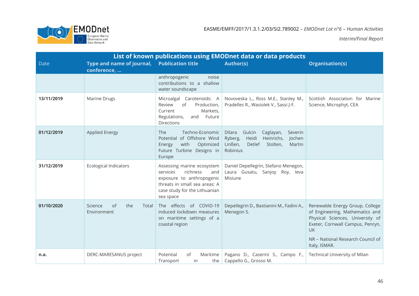

|             | List of known publications using EMODnet data or data products |                                                                                                                                                                       |                                                                                                                                             |                                                                                                                                                                                                               |  |  |
|-------------|----------------------------------------------------------------|-----------------------------------------------------------------------------------------------------------------------------------------------------------------------|---------------------------------------------------------------------------------------------------------------------------------------------|---------------------------------------------------------------------------------------------------------------------------------------------------------------------------------------------------------------|--|--|
| <b>Date</b> | Type and name of journal, Publication title                    |                                                                                                                                                                       | <b>Author(s)</b>                                                                                                                            | <b>Organisation(s)</b>                                                                                                                                                                                        |  |  |
|             | conference,                                                    | anthropogenic<br>noise                                                                                                                                                |                                                                                                                                             |                                                                                                                                                                                                               |  |  |
|             |                                                                | contributions to a shallow<br>water soundscape                                                                                                                        |                                                                                                                                             |                                                                                                                                                                                                               |  |  |
| 13/11/2019  | Marine Drugs                                                   | Microalgal Carotenoids: A<br>Review<br>Production,<br>of<br>Markets,<br>Current<br>Future<br>Regulations,<br>and<br><b>Directions</b>                                 | Novoveska L., Ross M.E., Stanley M.,<br>Pradelles R., Wasiolek V., Sassi J-F.                                                               | Scottish Association for Marine<br>Science, Microphyt, CEA                                                                                                                                                    |  |  |
| 01/12/2019  | <b>Applied Energy</b>                                          | Techno-Economic<br><b>The</b><br>Potential of Offshore Wind<br>with<br>Optimized<br>Energy<br>Future Turbine Designs in<br>Europe                                     | Dilara<br>Gulcin<br>Caglayan,<br>Severin<br>Ryberg,<br>Heidi<br>Heinrichs,<br>Jochen<br>Linßen,<br>Detlef<br>Stolten,<br>Martin<br>Robinius |                                                                                                                                                                                                               |  |  |
| 31/12/2019  | <b>Ecological Indicators</b>                                   | Assessing marine ecosystem<br>richness<br>services<br>and<br>exposure to anthropogenic<br>threats in small sea areas: A<br>case study for the Lithuanian<br>sea space | Daniel Depellegrin, Stefano Menegon,<br>Laura Gusatu, Sanjoy Roy, leva<br>Misiune                                                           |                                                                                                                                                                                                               |  |  |
| 01/10/2020  | Science<br>of<br>the<br>Total<br>Environment                   | The effects of COVID-19<br>induced lockdown measures<br>on maritime settings of a<br>coastal region                                                                   | Depellegrin D., Bastianini M., Fadini A.,<br>Menegon S.                                                                                     | Renewable Energy Group, College<br>of Engineering, Mathematics and<br>Physical Sciences, University of<br>Exeter, Cornwall Campus, Penryn,<br><b>UK</b><br>NR - National Research Council of<br>Italy, ISMAR. |  |  |
| n.a.        | DERC-MARESANUS project                                         | Potential<br>οf<br>Maritime<br>the<br>Transport<br>in                                                                                                                 | Pagano D., Caserini S., Campo F.,<br>Cappello G., Grosso M.                                                                                 | Technical University of Milan                                                                                                                                                                                 |  |  |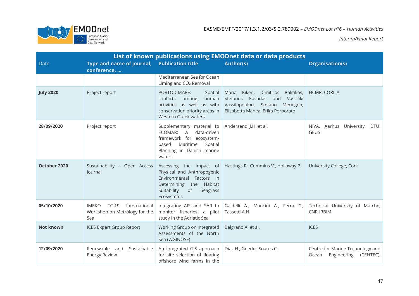

| <b>Date</b>      | Type and name of journal, Publication title<br>conference,                            |                                                                                                                                                                   | List of known publications using EMODnet data or data products<br><b>Author(s)</b>                                                                          | <b>Organisation(s)</b>                                                |
|------------------|---------------------------------------------------------------------------------------|-------------------------------------------------------------------------------------------------------------------------------------------------------------------|-------------------------------------------------------------------------------------------------------------------------------------------------------------|-----------------------------------------------------------------------|
|                  |                                                                                       | Mediterranean Sea for Ocean<br>Liming and CO <sub>2</sub> Removal                                                                                                 |                                                                                                                                                             |                                                                       |
| <b>July 2020</b> | Project report                                                                        | PORTODIMARE:<br>Spatial<br>conflicts<br>human<br>among<br>activities as well as with<br>conservation priority areas in<br>Western Greek waters                    | Kikeri, Dimitrios Politikos,<br>Maria<br>Stefanos<br>Kavadas<br>and<br>Vassiliki<br>Vassilopoulou, Stefano<br>Menegon,<br>Elisabetta Manea, Erika Porporato | <b>HCMR, CORILA</b>                                                   |
| 28/09/2020       | Project report                                                                        | Supplementary material to<br>data-driven<br>FCOMAR:<br>A<br>framework for ecosystem-<br>Maritime<br>Spatial<br>based<br>Planning in Danish marine<br>waters       | Andersend, J.H. et al.                                                                                                                                      | NIVA,<br>Aarhus University,<br>DTU,<br><b>GEUS</b>                    |
| October 2020     | Sustainability - Open Access<br>Journal                                               | Assessing the Impact of<br>Physical and Anthropogenic<br>Factors in<br>Environmental<br>the Habitat<br>Determining<br>Suitability<br>of<br>Seagrass<br>Ecosystems | Hastings R., Cummins V., Holloway P.                                                                                                                        | University College, Cork                                              |
| 05/10/2020       | <b>TC-19</b><br><b>IMEKO</b><br>International<br>Workshop on Metrology for the<br>Sea | Integrating AIS and SAR to<br>monitor fisheries: a pilot<br>study in the Adriatic Sea                                                                             | Galdelli A., Mancini A., Ferrà C.,<br>Tassetti A.N.                                                                                                         | Technical University of Matche,<br><b>CNR-IRBIM</b>                   |
| <b>Not known</b> | <b>ICES Expert Group Report</b>                                                       | Working Group on Integrated<br>Assessments of the North<br>Sea (WGINOSE)                                                                                          | Belgrano A. et al.                                                                                                                                          | <b>ICES</b>                                                           |
| 12/09/2020       | Renewable<br>Sustainable<br>and<br><b>Energy Review</b>                               | An integrated GIS approach<br>for site selection of floating<br>offshore wind farms in the                                                                        | Diaz H., Guedes Soares C.                                                                                                                                   | Centre for Marine Technology and<br>Engineering<br>(CENTEC),<br>Ocean |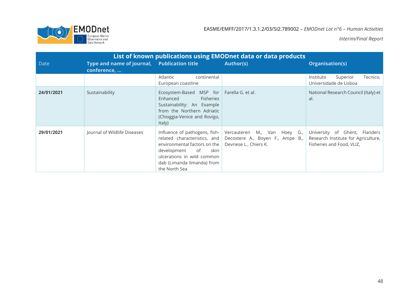

| <b>Date</b> | Type and name of journal, Publication title<br>conference, |                                                                                                                                                                                                         | List of known publications using EMODnet data or data products<br><b>Author(s)</b>         | <b>Organisation(s)</b>                                                                            |
|-------------|------------------------------------------------------------|---------------------------------------------------------------------------------------------------------------------------------------------------------------------------------------------------------|--------------------------------------------------------------------------------------------|---------------------------------------------------------------------------------------------------|
|             |                                                            | continental<br>Atlantic<br>European coastline                                                                                                                                                           |                                                                                            | Instituto<br>Superior<br>Tecnico,<br>Universidade de Lisboa                                       |
| 24/01/2021  | Sustainability                                             | Ecosystem-Based MSP for<br>Enhanced<br><b>Fisheries</b><br>Sustainability: An Example<br>from the Northern Adriatic<br>(Chioggia-Venice and Rovigo,<br>Italy)                                           | Farella G. et al.                                                                          | National Research Council (Italy) et<br>al.                                                       |
| 29/01/2021  | Journal of Wildlife Diseases                               | Influence of pathogens, fish-<br>related characteristics, and<br>environmental factors on the<br>development<br>skin<br>of<br>ulcerations in wild common<br>dab (Limanda limanda) from<br>the North Sea | Vercauteren M., Van Hoey G.,<br>Decostere A., Boyen F., Ampe B.,<br>Devriese L., Chiers K. | University of Ghent, Flanders<br>Research Institute for Agriculture,<br>Fisheries and Food, VLIZ, |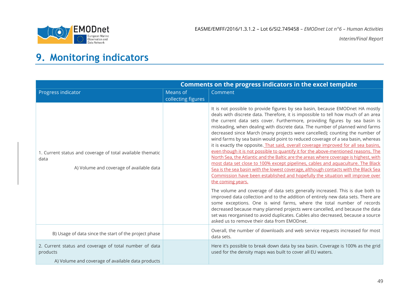

# **9. Monitoring indicators**

<span id="page-48-0"></span>

| <b>Comments on the progress indicators in the excel template</b>                                                        |                    |                                                                                                                                                                                                                                                                                                                                                                                                                                                                                                                                                                                                                                                                                                                                                                                                                                                                                                                                                                                                                                                              |  |  |
|-------------------------------------------------------------------------------------------------------------------------|--------------------|--------------------------------------------------------------------------------------------------------------------------------------------------------------------------------------------------------------------------------------------------------------------------------------------------------------------------------------------------------------------------------------------------------------------------------------------------------------------------------------------------------------------------------------------------------------------------------------------------------------------------------------------------------------------------------------------------------------------------------------------------------------------------------------------------------------------------------------------------------------------------------------------------------------------------------------------------------------------------------------------------------------------------------------------------------------|--|--|
| <b>Progress indicator</b>                                                                                               | Means of           | Comment                                                                                                                                                                                                                                                                                                                                                                                                                                                                                                                                                                                                                                                                                                                                                                                                                                                                                                                                                                                                                                                      |  |  |
|                                                                                                                         | collecting figures |                                                                                                                                                                                                                                                                                                                                                                                                                                                                                                                                                                                                                                                                                                                                                                                                                                                                                                                                                                                                                                                              |  |  |
| 1. Current status and coverage of total available thematic<br>data<br>A) Volume and coverage of available data          |                    | It is not possible to provide figures by sea basin, because EMODnet HA mostly<br>deals with discrete data. Therefore, it is impossible to tell how much of an area<br>the current data sets cover. Furthermore, providing figures by sea basin is<br>misleading, when dealing with discrete data. The number of planned wind farms<br>decreased since March (many projects were cancelled); counting the number of<br>wind farms by sea basin would point to reduced coverage of a sea basin, whereas<br>it is exactly the opposite. That said, overall coverage improved for all sea basins,<br>even though it is not possible to quantify it for the above-mentioned reasons. The<br>North Sea, the Atlantic and the Baltic are the areas where coverage is highest, with<br>most data set close to 100% except pipelines, cables and aquaculture. The Black<br>Sea is the sea basin with the lowest coverage, although contacts with the Black Sea<br>Commission have been established and hopefully the situation will improve over<br>the coming years. |  |  |
|                                                                                                                         |                    | The volume and coverage of data sets generally increased. This is due both to<br>improved data collection and to the addition of entirely new data sets. There are<br>some exceptions. One is wind farms, where the total number of records<br>decreased because many planned projects were cancelled, and because the data<br>set was reorganised to avoid duplicates. Cables also decreased, because a source<br>asked us to remove their data from EMODnet.                                                                                                                                                                                                                                                                                                                                                                                                                                                                                                                                                                                               |  |  |
| B) Usage of data since the start of the project phase                                                                   |                    | Overall, the number of downloads and web service requests increased for most<br>data sets.                                                                                                                                                                                                                                                                                                                                                                                                                                                                                                                                                                                                                                                                                                                                                                                                                                                                                                                                                                   |  |  |
| 2. Current status and coverage of total number of data<br>products<br>A) Volume and coverage of available data products |                    | Here it's possible to break down data by sea basin. Coverage is 100% as the grid<br>used for the density maps was built to cover all EU waters.                                                                                                                                                                                                                                                                                                                                                                                                                                                                                                                                                                                                                                                                                                                                                                                                                                                                                                              |  |  |
|                                                                                                                         |                    |                                                                                                                                                                                                                                                                                                                                                                                                                                                                                                                                                                                                                                                                                                                                                                                                                                                                                                                                                                                                                                                              |  |  |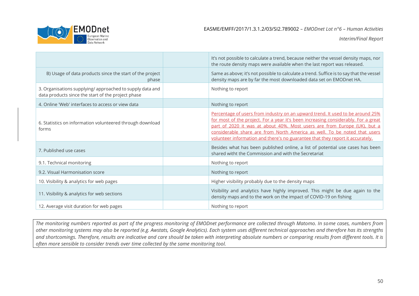

EASME/EMFF/2017/1.3.1.2/03/SI2.789002 *– EMODnet Lot n°6 – Human Activities*

*Interim/Final Report*

|                                                                                                                | It's not possible to calculate a trend, because neither the vessel density maps, nor<br>the route density maps were available when the last report was released.                                                                                                                                                                                                                                                |
|----------------------------------------------------------------------------------------------------------------|-----------------------------------------------------------------------------------------------------------------------------------------------------------------------------------------------------------------------------------------------------------------------------------------------------------------------------------------------------------------------------------------------------------------|
| B) Usage of data products since the start of the project<br>phase                                              | Same as above; it's not possible to calculate a trend. Suffice is to say that the vessel<br>density maps are by far the most downloaded data set on EMODnet HA.                                                                                                                                                                                                                                                 |
| 3. Organisations supplying/approached to supply data and<br>data products since the start of the project phase | Nothing to report                                                                                                                                                                                                                                                                                                                                                                                               |
| 4. Online 'Web' interfaces to access or view data                                                              | Nothing to report                                                                                                                                                                                                                                                                                                                                                                                               |
| 6. Statistics on information volunteered through download<br>forms                                             | Percentage of users from industry on an upward trend. It used to be around 25%<br>for most of the project. For a year it's been increasing considerably. For a great<br>part of 2020 it was at about 40%. Most users are from Europe (UK), but a<br>considerable share are from North America as well. To be noted that users<br>volunteer information and there's no guarantee that they report it accurately. |
| 7. Published use cases                                                                                         | Besides what has been published online, a list of potential use cases has been<br>shared witht the Commission and with the Secretariat                                                                                                                                                                                                                                                                          |
| 9.1. Technical monitoring                                                                                      | Nothing to report                                                                                                                                                                                                                                                                                                                                                                                               |
| 9.2. Visual Harmonisation score                                                                                | Nothing to report                                                                                                                                                                                                                                                                                                                                                                                               |
| 10. Visibility & analytics for web pages                                                                       | Higher visibility probably due to the density maps                                                                                                                                                                                                                                                                                                                                                              |
| 11. Visibility & analytics for web sections                                                                    | Visibility and analytics have highly improved. This might be due again to the<br>density maps and to the work on the impact of COVID-19 on fishing                                                                                                                                                                                                                                                              |
| 12. Average visit duration for web pages                                                                       | Nothing to report                                                                                                                                                                                                                                                                                                                                                                                               |

*The monitoring numbers reported as part of the progress monitoring of EMODnet performance are collected through Matomo. In some cases, numbers from other monitoring systems may also be reported (e.g. Awstats, Google Analytics). Each system uses different technical approaches and therefore has its strengths and shortcomings. Therefore, results are indicative and care should be taken with interpreting absolute numbers or comparing results from different tools. It is often more sensible to consider trends over time collected by the same monitoring tool.*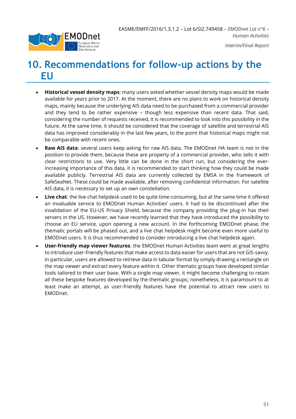

## <span id="page-50-0"></span>**10. Recommendations for follow-up actions by the EU**

- **Historical vessel density maps**: many users asked whether vessel density maps would be made available for years prior to 2017. At the moment, there are no plans to work on historical density maps, mainly because the underlying AIS data need to be purchased from a commercial provider and they tend to be rather expensive – though less expensive than recent data. That said, considering the number of requests received, it is recommended to look into this possibility in the future. At the same time, it should be considered that the coverage of satellite and terrestrial AIS data has improved considerably in the last few years, to the point that historical maps might not be comparable with recent ones.
- **Raw AIS data**: several users keep asking for raw AIS data. The EMODnet HA team is not in the position to provide them, because these are property of a commercial provider, who sells it with clear restrictions to use. Very little can be done in the short run, but considering the everincreasing importance of this data, it is recommended to start thinking how they could be made available publicly. Terrestrial AIS data are currently collected by EMSA in the framework of SafeSeaNet. These could be made available, after removing confidential information. For satellite AIS data, it is necessary to set up an own constellation.
- **Live chat:** the live chat helpdesk used to be quite time-consuming, but at the same time it offered an invaluable service to EMODnet Human Activities' users. It had to be discontinued after the invalidation of the EU-US Privacy Shield, because the company providing the plug-in has their servers in the US. However, we have recently learned that they have introduced the possibility to choose an EU service, upon opening a new account. In the forthcoming EMODnet phase, the thematic portals will be phased out, and a live chat helpdesk might become even more useful to EMODnet users. It is thus recommended to consider introducing a live chat helpdesk again.
- **User-friendly map viewer features**: the EMODnet Human Activities team went at great lengths to introduce user-friendly features that make access to data easier for users that are not GIS-savvy. In particular, users are allowed to retrieve data in tabular format by simply drawing a rectangle on the map viewer and extract every feature within it. Other thematic groups have developed similar tools tailored to their user base. With a single map viewer, it might become challenging to retain all these bespoke features developed by the thematic groups; nonetheless, it is paramount to at least make an attempt, as user-friendly features have the potential to attract new users to EMODnet.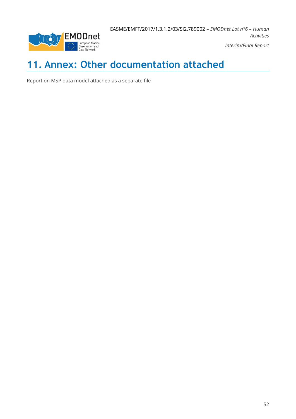

## <span id="page-51-0"></span>**11. Annex: Other documentation attached**

Report on MSP data model attached as a separate file